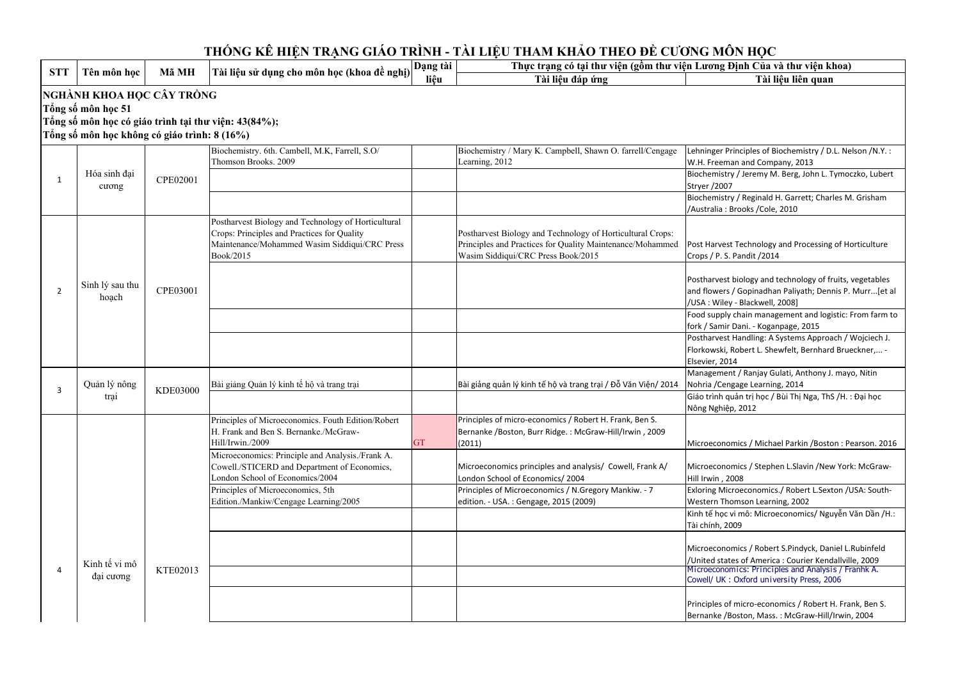Lehninger Principles of Biochemistry / D.L. Nelson /N.Y. :

Biochemistry / Jeremy M. Berg, John L. Tymoczko, Lubert

and flowers / Gopinadhan Paliyath; Dennis P. Murr...[et al

Food supply chain management and logistic: From farm to

Postharvest Handling: A Systems Approach / Wojciech J.

## **Tài liệu đáp ứng Tài liệu liên quan**  Biochemistry. 6th. Cambell, M.K, Farrell, S.O/ Thomson Brooks. 2009Biochemistry / Mary K. Campbell, Shawn O. farrell/Cengage Learning, 2012W.H. Freeman and Company, 2013Stryer /2007 Biochemistry / Reginald H. Garrett; Charles M. Grisham /Australia : Brooks /Cole, 2010Postharvest Biology and Technology of Horticultural Crops: Principles and Practices for Quality Maintenance/Mohammed Wasim Siddiqui/CRC Press Book/2015Postharvest Biology and Technology of Horticultural Crops: Principles and Practices for Quality Maintenance/Mohammed Wasim Siddiqui/CRC Press Book/2015Post Harvest Technology and Processing of Horticulture Crops / P. S. Pandit /2014Postharvest biology and technology of fruits, vegetables /USA : Wiley - Blackwell, 2008]fork / Samir Dani. - Koganpage, 2015Florkowski, Robert L. Shewfelt, Bernhard Brueckner,... - Elsevier, 2014 Management / Ranjay Gulati, Anthony J. mayo, Nitin Bài giảng Quản lý kinh tế hộ và trang trại Bài giảng quản lý kinh tế hộ và trang trại / Đỗ Văn Viện/ 2014Nohria /Cengage Learning, 2014 Giáo trình quản trị học / Bùi Thị Nga, ThS /H. : Đại học Nông Nghiệp, 2012Principles of Microeconomics. Fouth Edition/Robert H. Frank and Ben S. Bernanke./McGraw-Hill/Irwin./20099 GT Principles of micro-economics / Robert H. Frank, Ben S. Bernanke /Boston, Burr Ridge. : McGraw-Hill/Irwin , 2009 (2011)Microeconomics: Principle and Analysis./Frank A. Cowell./STICERD and Department of Economics, London School of Economics/2004 Principles of Microeconomics, 5th Microeconomics principles and analysis/ Cowell, Frank A/ London School of Economics/ 2004 Principles of Microeconomics / N.Gregory Mankiw. - 7 Hill Irwin , 2008Edition./Mankiw/Cengage Learning/2005edition. - USA. : Gengage, 2015 (2009)Western Thomson Learning, 2002Tài chính, 2009Microeconomics / Robert S.Pindyck, Daniel L.Rubinfeld /United states of America : Courier Kendallville, 2009 Microeconomics: Principles and Analysis / Franhk A. Cowell/ UK : Oxford university Press, 2006**NGHÀNH KHOA HỌC CÂY TRỒNGTổng số môn học 51 Tổng số môn học có giáo trình tại thư viện: 43(84%);Tổng số môn học không có giáo trình: 8 (16%)**1Hóa sinh đai cươngCPE020012 Sinh lý sau thu hoạch CPE03001 **THỐNG KÊ HIỆN TRẠNG GIÁO TRÌNH - TÀI LIỆU THAM KHẢO THEO ĐỀ CƯƠNG MÔN HỌC STT Tên môn học Mã MH Tài liệu sử dụng cho môn học (khoa đề nghị) Dạng tài liệu Thực trạng có tại thư viện (gồm thư viện Lương Định Của và thư viện khoa)** 3Quản lý nông<br>trại KDE03000 4 Kinh tế vi mô đại cươngKTE02013

Microeconomics / Michael Parkin /Boston : Pearson. 2016

Microeconomics / Stephen L.Slavin /New York: McGraw-

Exloring Microeconomics./ Robert L.Sexton /USA: South-

Kinh tế học vi mô: Microeconomics/ Nguyễn Văn Dần /H.:

Principles of micro-economics / Robert H. Frank, Ben S. Bernanke /Boston, Mass. : McGraw-Hill/Irwin, 2004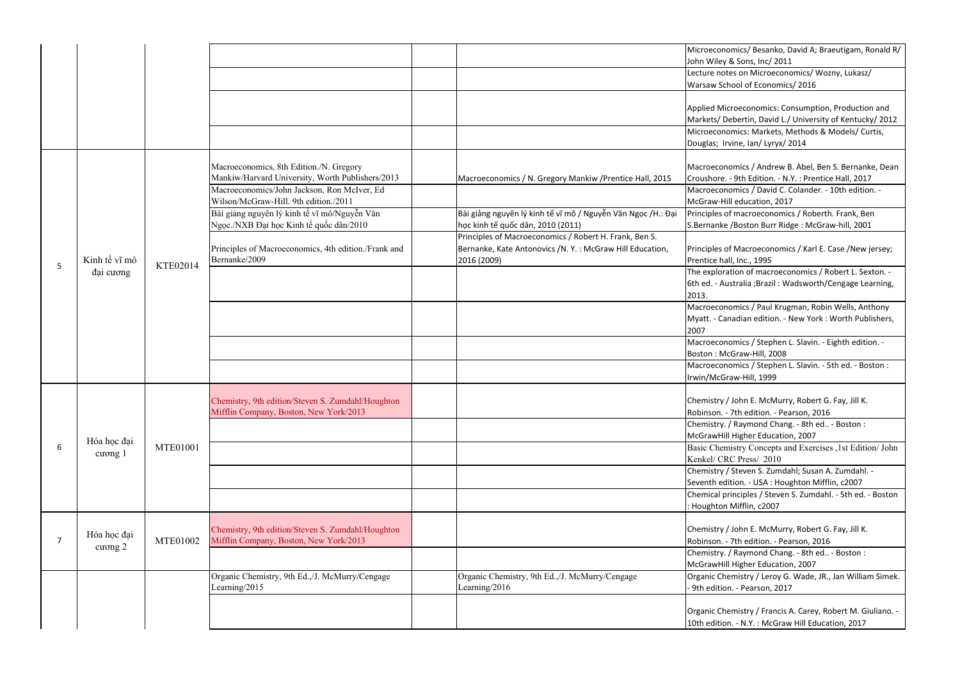Lecture notes on Microeconomics/ Wozny, Lukasz/ chool of Economics/ 2016

> licroeconomics: Consumption, Production and Debertin, David L./ University of Kentucky/ 2012 nomics: Markets, Methods & Models/ Curtis, Irvine, Ian/ Lyryx/ 2014

momics / Andrew B. Abel, Ben S. Bernanke, Dean e. - 9th Edition. - N.Y. : Prentice Hall, 2017 Macroeconomics / David C. Colander. - 10th edition. - Hill education, 2017

 Principles of macroeconomics / Roberth. Frank, Ben e /Boston Burr Ridge : McGraw-hill, 2001

> of Macroeconomics / Karl E. Case /New jersey; all, Inc., 1995

 The exploration of macroeconomics / Robert L. Sexton. - Australia ;Brazil : Wadsworth/Cengage Learning,

> momics / Paul Krugman, Robin Wells, Anthony anadian edition. - New York : Worth Publishers,

momics / Stephen L. Slavin. - Eighth edition. -Boston : McGraw-Hill, 2008

 Macroeconomics / Stephen L. Slavin. - 5th ed. - Boston : Graw-Hill, 1999

> / / John E. McMurry, Robert G. Fay, Jill K. . - 7th edition. - Pearson, 2016

 Chemistry. / Raymond Chang. - 8th ed.. - Boston : Iill Higher Education, 2007

 Basic Chemistry Concepts and Exercises ,1st Edition/ John RC Press/ 2010

 Chemical principles / Steven S. Zumdahl. - 5th ed. - Boston n Mifflin, c2007

> / / John E. McMurry, Robert G. Fay, Jill K. . - 7th edition. - Pearson, 2016

 Chemistry. / Raymond Chang. - 8th ed.. - Boston : Iill Higher Education, 2007

 Organic Chemistry / Leroy G. Wade, JR., Jan William Simek. on. - Pearson, 2017

> hemistry / Francis A. Carey, Robert M. Giuliano. on. - N.Y. : McGraw Hill Education, 2017

|   |               |                 |                                                      |                                                              | Microecon         |
|---|---------------|-----------------|------------------------------------------------------|--------------------------------------------------------------|-------------------|
|   |               |                 |                                                      |                                                              | John Wiley        |
|   |               |                 |                                                      |                                                              | Lecture no        |
|   |               |                 |                                                      |                                                              | Warsaw So         |
|   |               |                 |                                                      |                                                              | Applied M         |
|   |               |                 |                                                      |                                                              | Markets/I         |
|   |               |                 |                                                      |                                                              | Microecor         |
|   |               |                 |                                                      |                                                              | Douglas; I        |
|   |               |                 |                                                      |                                                              |                   |
|   |               |                 | Macroeconomics, 8th Edition./N. Gregory              |                                                              | Macroeco          |
|   |               |                 | Mankiw/Harvard University, Worth Publishers/2013     | Macroeconomics / N. Gregory Mankiw / Prentice Hall, 2015     | Croushore         |
|   |               |                 | Macroeconomics/John Jackson, Ron McIver, Ed          |                                                              | Macroeco          |
|   |               |                 | Wilson/McGraw-Hill. 9th edition./2011                |                                                              | McGraw-H          |
|   |               |                 | Bài giảng nguyên lý kinh tế vĩ mô/Nguyễn Văn         | Bài giảng nguyên lý kinh tế vĩ mô / Nguyễn Văn Ngọc /H.: Đại | Principles        |
|   |               |                 | Ngọc./NXB Đại học Kinh tế quốc dân/2010              | học kinh tế quốc dân, 2010 (2011)                            | S.Bernank         |
|   |               |                 |                                                      | Principles of Macroeconomics / Robert H. Frank, Ben S.       |                   |
|   |               |                 | Principles of Macroeconomics, 4th edition./Frank and | Bernanke, Kate Antonovics /N.Y.: McGraw Hill Education,      | Principles        |
|   | Kinh tế vĩ mô |                 | Bernanke/2009                                        | 2016 (2009)                                                  | Prentice h        |
| 5 | đại cương     | KTE02014        |                                                      |                                                              | The explor        |
|   |               |                 |                                                      |                                                              | 6th ed. - A       |
|   |               |                 |                                                      |                                                              | 2013.             |
|   |               |                 |                                                      |                                                              | Macroeco          |
|   |               |                 |                                                      |                                                              | Myatt. - Ca       |
|   |               |                 |                                                      |                                                              | 2007              |
|   |               |                 |                                                      |                                                              | Macroeco          |
|   |               |                 |                                                      |                                                              | Boston: M         |
|   |               |                 |                                                      |                                                              | Macroeco          |
|   |               |                 |                                                      |                                                              | Irwin/McG         |
|   |               |                 |                                                      |                                                              |                   |
|   |               |                 | Chemistry, 9th edition/Steven S. Zumdahl/Houghton    |                                                              | Chemistry         |
|   |               |                 | Mifflin Company, Boston, New York/2013               |                                                              | Robinson.         |
|   |               |                 |                                                      |                                                              | Chemistry         |
|   |               |                 |                                                      |                                                              | McGrawHi          |
| 6 | Hóa hoc đai   | <b>MTE01001</b> |                                                      |                                                              | <b>Basic Chet</b> |
|   | cuong 1       |                 |                                                      |                                                              | Kenkel/C          |
|   |               |                 |                                                      |                                                              | Chemistry         |
|   |               |                 |                                                      |                                                              | Seventh er        |
|   |               |                 |                                                      |                                                              | Chemical p        |
|   |               |                 |                                                      |                                                              | : Houghtor        |
|   |               |                 |                                                      |                                                              |                   |
|   |               |                 | Chemistry, 9th edition/Steven S. Zumdahl/Houghton    |                                                              | Chemistry         |
| 7 | Hóa học đại   | <b>MTE01002</b> | Mifflin Company, Boston, New York/2013               |                                                              | Robinson.         |
|   | cuong 2       |                 |                                                      |                                                              | Chemistry         |
|   |               |                 |                                                      |                                                              | McGrawHi          |
|   |               |                 | Organic Chemistry, 9th Ed.,/J. McMurry/Cengage       | Organic Chemistry, 9th Ed.,/J. McMurry/Cengage               | Organic Ch        |
|   |               |                 | Learning/2015                                        | Learning/2016                                                | - 9th editio      |
|   |               |                 |                                                      |                                                              |                   |
|   |               |                 |                                                      |                                                              | Organic Ch        |
|   |               |                 |                                                      |                                                              | 10th editio       |

nomics/ Besanko, David A; Braeutigam, Ronald R/ y & Sons, Inc/ 2011

Chemistry / Steven S. Zumdahl; Susan A. Zumdahl. -

dition. - USA : Houghton Mifflin, c2007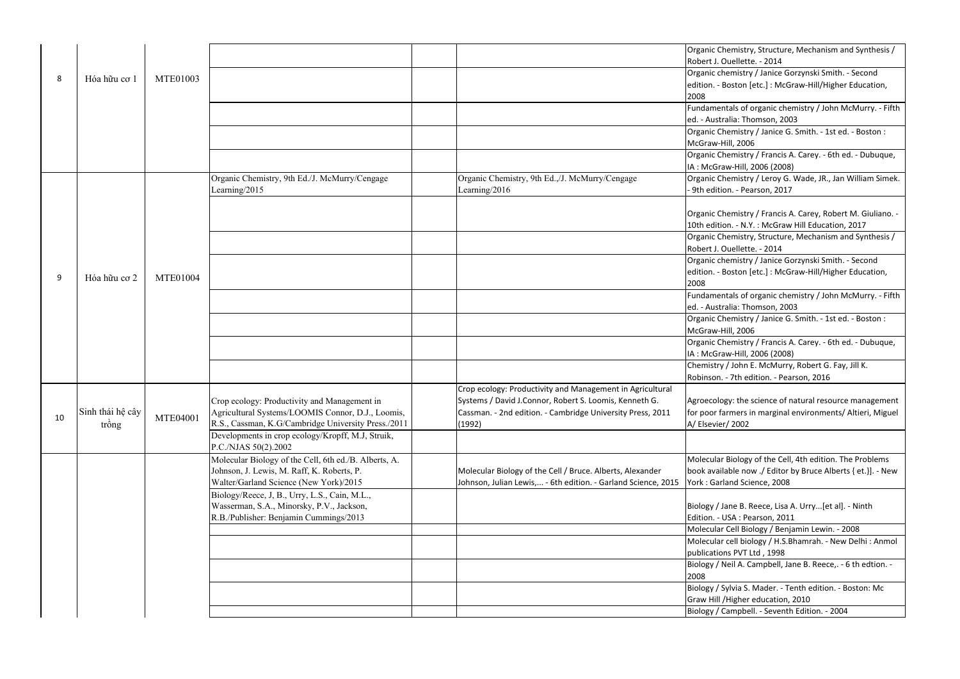Organic chemistry / Janice Gorzynski Smith. - Second Boston [etc.] : McGraw-Hill/Higher Education,

> htals of organic chemistry / John McMurry. - Fifth ralia: Thomson, 2003

 Organic Chemistry / Francis A. Carey. - 6th ed. - Dubuque, aw-Hill, 2006 (2008)

 Organic Chemistry / Leroy G. Wade, JR., Jan William Simek. on. - Pearson, 2017

> hemistry / Francis A. Carey, Robert M. Giuliano. on. - N.Y. : McGraw Hill Education, 2017

 Organic Chemistry / Janice G. Smith. - 1st ed. - Boston : McGraw-Hill, 2006

 Organic Chemistry, Structure, Mechanism and Synthesis / Ouellette. - 2014

 Organic chemistry / Janice Gorzynski Smith. - Second Boston [etc.] : McGraw-Hill/Higher Education,

> htals of organic chemistry / John McMurry. - Fifth ralia: Thomson, 2003

 Organic Chemistry / Francis A. Carey. - 6th ed. - Dubuque, aw-Hill, 2006 (2008)

 Chemistry / John E. McMurry, Robert G. Fay, Jill K. . - 7th edition. - Pearson, 2016

> bgy: the science of natural resource management armers in marginal environments/ Altieri, Miguel r/ 2002

Biology of the Cell, 4th edition. The Problems lable now ./ Editor by Bruce Alberts { et.}]. - New land Science, 2008

Jane B. Reece, Lisa A. Urry...[et al]. - Ninth USA: Pearson, 2011

 Organic Chemistry / Janice G. Smith. - 1st ed. - Boston : McGraw-Hill, 2006

 Molecular cell biology / H.S.Bhamrah. - New Delhi : Anmol ns PVT Ltd, 1998

Sylvia S. Mader. - Tenth edition. - Boston: Mc Higher education, 2010 Biology / Campbell. - Seventh Edition. - 2004

|    |                  |                 |                                                       |                                                               | Organic Ch   |
|----|------------------|-----------------|-------------------------------------------------------|---------------------------------------------------------------|--------------|
|    |                  |                 |                                                       |                                                               | Robert J. C  |
|    |                  |                 |                                                       |                                                               | Organic ch   |
| 8  | Hóa hữu cơ 1     | <b>MTE01003</b> |                                                       |                                                               | edition. - E |
|    |                  |                 |                                                       |                                                               | 2008         |
|    |                  |                 |                                                       |                                                               | Fundamen     |
|    |                  |                 |                                                       |                                                               | ed. - Austr  |
|    |                  |                 |                                                       |                                                               | Organic Ch   |
|    |                  |                 |                                                       |                                                               | McGraw-H     |
|    |                  |                 |                                                       |                                                               | Organic Ch   |
|    |                  |                 |                                                       |                                                               |              |
|    |                  |                 |                                                       |                                                               | IA: McGra    |
|    |                  |                 | Organic Chemistry, 9th Ed./J. McMurry/Cengage         | Organic Chemistry, 9th Ed.,/J. McMurry/Cengage                | Organic Ch   |
|    |                  |                 | Learning/2015                                         | Learning/2016                                                 | - 9th editio |
|    |                  |                 |                                                       |                                                               |              |
|    |                  |                 |                                                       |                                                               | Organic Ch   |
|    |                  |                 |                                                       |                                                               | 10th editio  |
|    |                  |                 |                                                       |                                                               | Organic Ch   |
|    |                  |                 |                                                       |                                                               | Robert J. C  |
|    |                  |                 |                                                       |                                                               | Organic ch   |
| 9  | Hóa hữu cơ 2     | <b>MTE01004</b> |                                                       |                                                               | edition. - E |
|    |                  |                 |                                                       |                                                               | 2008         |
|    |                  |                 |                                                       |                                                               | Fundamen     |
|    |                  |                 |                                                       |                                                               | ed. - Austr  |
|    |                  |                 |                                                       |                                                               | Organic Ch   |
|    |                  |                 |                                                       |                                                               | McGraw-H     |
|    |                  |                 |                                                       |                                                               | Organic Ch   |
|    |                  |                 |                                                       |                                                               | IA: McGra    |
|    |                  |                 |                                                       |                                                               | Chemistry    |
|    |                  |                 |                                                       |                                                               | Robinson.    |
|    |                  |                 |                                                       | Crop ecology: Productivity and Management in Agricultural     |              |
|    |                  |                 | Crop ecology: Productivity and Management in          | Systems / David J.Connor, Robert S. Loomis, Kenneth G.        | Agroecolo    |
| 10 | Sinh thái hệ cây | MTE04001        | Agricultural Systems/LOOMIS Connor, D.J., Loomis,     | Cassman. - 2nd edition. - Cambridge University Press, 2011    | for poor fa  |
|    | trông            |                 | R.S., Cassman, K.G/Cambridge University Press./2011   | (1992)                                                        | A/ Elsevier  |
|    |                  |                 | Developments in crop ecology/Kropff, M.J, Struik,     |                                                               |              |
|    |                  |                 | P.C./NJAS 50(2).2002                                  |                                                               |              |
|    |                  |                 | Molecular Biology of the Cell, 6th ed./B. Alberts, A. |                                                               | Molecular    |
|    |                  |                 | Johnson, J. Lewis, M. Raff, K. Roberts, P.            | Molecular Biology of the Cell / Bruce. Alberts, Alexander     | book avail   |
|    |                  |                 | Walter/Garland Science (New York)/2015                | Johnson, Julian Lewis, - 6th edition. - Garland Science, 2015 | York: Garl   |
|    |                  |                 | Biology/Reece, J, B., Urry, L.S., Cain, M.L.,         |                                                               |              |
|    |                  |                 | Wasserman, S.A., Minorsky, P.V., Jackson,             |                                                               | Biology / J  |
|    |                  |                 | R.B./Publisher: Benjamin Cummings/2013                |                                                               | Edition. - l |
|    |                  |                 |                                                       |                                                               | Molecular    |
|    |                  |                 |                                                       |                                                               | Molecular    |
|    |                  |                 |                                                       |                                                               | publication  |
|    |                  |                 |                                                       |                                                               | Biology / N  |
|    |                  |                 |                                                       |                                                               | 2008         |
|    |                  |                 |                                                       |                                                               | Biology / S  |
|    |                  |                 |                                                       |                                                               | Graw Hill /  |
|    |                  |                 |                                                       |                                                               | Biology / C  |

hemistry, Structure, Mechanism and Synthesis / Ouellette. - 2014

Molecular Cell Biology / Benjamin Lewin. - 2008

Biology / Neil A. Campbell, Jane B. Reece,. - 6 th edtion. -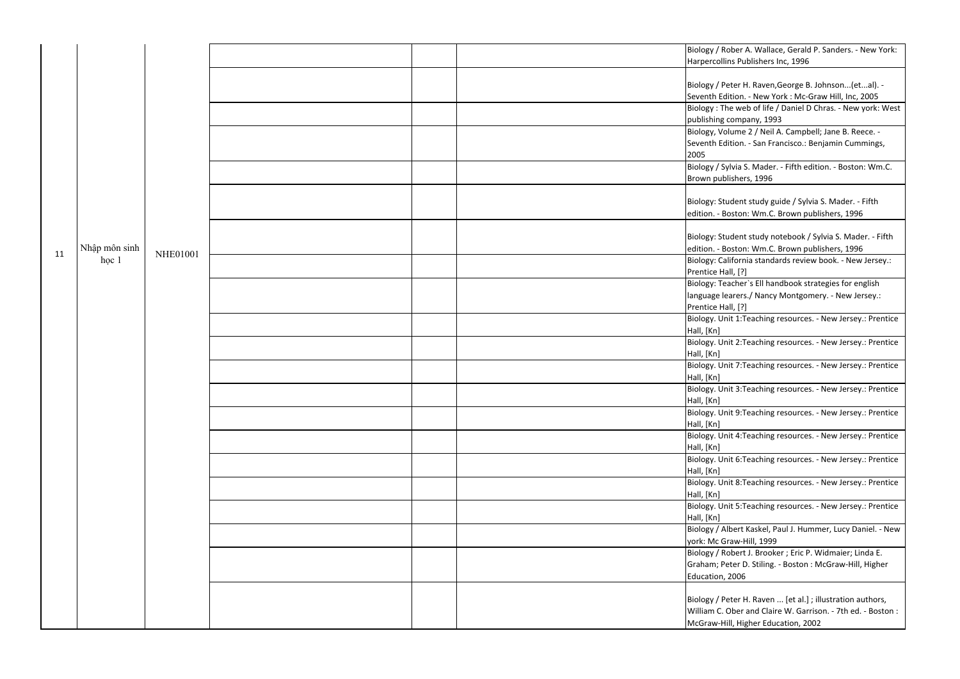Biology, Volume 2 / Neil A. Campbell; Jane B. Reece. dition. - San Francisco.: Benjamin Cummings,

> Sylvia S. Mader. - Fifth edition. - Boston: Wm.C. blishers, 1996

tudent study guide / Sylvia S. Mader. - Fifth loston: Wm.C. Brown publishers, 1996

tudent study notebook / Sylvia S. Mader. - Fifth Boston: Wm.C. Brown publishers, 1996

 Biology: California standards review book. - New Jersey.:  $\text{fall}, [?)$ 

 Biology: Teacher`s Ell handbook strategies for english learers./ Nancy Montgomery. - New Jersey.:  $\text{fall}, [?)$ 

Biology / Albert Kaskel, Paul J. Hummer, Lucy Daniel. - New iraw-Hill, 1999

 Biology / Robert J. Brooker ; Eric P. Widmaier; Linda E. Peter D. Stiling. - Boston : McGraw-Hill, Higher , 2006

> Peter H. Raven ... [et al.] ; illustration authors, Ober and Claire W. Garrison. - 7th ed. - Boston : Hill, Higher Education, 2002

Biology. Unit 1:Teaching resources. - New Jersey.: Prentice

nit 2:Teaching resources. - New Jersey.: Prentice

nit 7:Teaching resources. - New Jersey.: Prentice

nit 3:Teaching resources. - New Jersey.: Prentice

nit 9:Teaching resources. - New Jersey.: Prentice

nit 4:Teaching resources. - New Jersey.: Prentice

nit 6:Teaching resources. - New Jersey.: Prentice

nit 8:Teaching resources. - New Jersey.: Prentice

nit 5:Teaching resources. - New Jersey.: Prentice

|    |               |          | Biology / R       |
|----|---------------|----------|-------------------|
|    |               |          | Harpercoll        |
|    |               |          |                   |
|    |               |          | Biology / P       |
|    |               |          | Seventh Ed        |
|    |               |          | <b>Biology: T</b> |
|    |               |          | publishing        |
|    |               |          | Biology, Vo       |
|    |               |          | Seventh Ed        |
|    |               |          | 2005              |
|    |               |          | Biology / S       |
|    |               |          | Brown pub         |
|    |               |          |                   |
|    |               |          | Biology: St       |
|    |               |          | edition. - E      |
|    |               |          |                   |
|    |               |          | Biology: St       |
|    | Nhập môn sinh |          |                   |
| 11 |               | NHE01001 | edition. - E      |
|    | học 1         |          | Biology: Ca       |
|    |               |          | Prentice H        |
|    |               |          | Biology: Te       |
|    |               |          | language le       |
|    |               |          | Prentice H        |
|    |               |          | Biology. U        |
|    |               |          | Hall, [Kn]        |
|    |               |          | Biology. Ur       |
|    |               |          | Hall, [Kn]        |
|    |               |          | Biology. U        |
|    |               |          | Hall, [Kn]        |
|    |               |          | Biology. Ur       |
|    |               |          | Hall, [Kn]        |
|    |               |          | Biology. U        |
|    |               |          | Hall, [Kn]        |
|    |               |          | Biology. U        |
|    |               |          | Hall, [Kn]        |
|    |               |          | Biology. U        |
|    |               |          |                   |
|    |               |          | Hall, [Kn]        |
|    |               |          | Biology. U        |
|    |               |          | Hall, [Kn]        |
|    |               |          | Biology. U        |
|    |               |          | Hall, [Kn]        |
|    |               |          | Biology / A       |
|    |               |          | york: Mc G        |
|    |               |          | Biology / R       |
|    |               |          | Graham; P         |
|    |               |          | Education,        |
|    |               |          |                   |
|    |               |          | Biology / P       |
|    |               |          | William C.        |
|    |               |          | McGraw-H          |
|    |               |          |                   |

Rober A. Wallace, Gerald P. Sanders. - New York: lins Publishers Inc, 1996

Peter H. Raven,George B. Johnson...(et...al). dition. - New York : Mc-Graw Hill, Inc, 2005 Biology : The web of life / Daniel D Chras. - New york: West company, 1993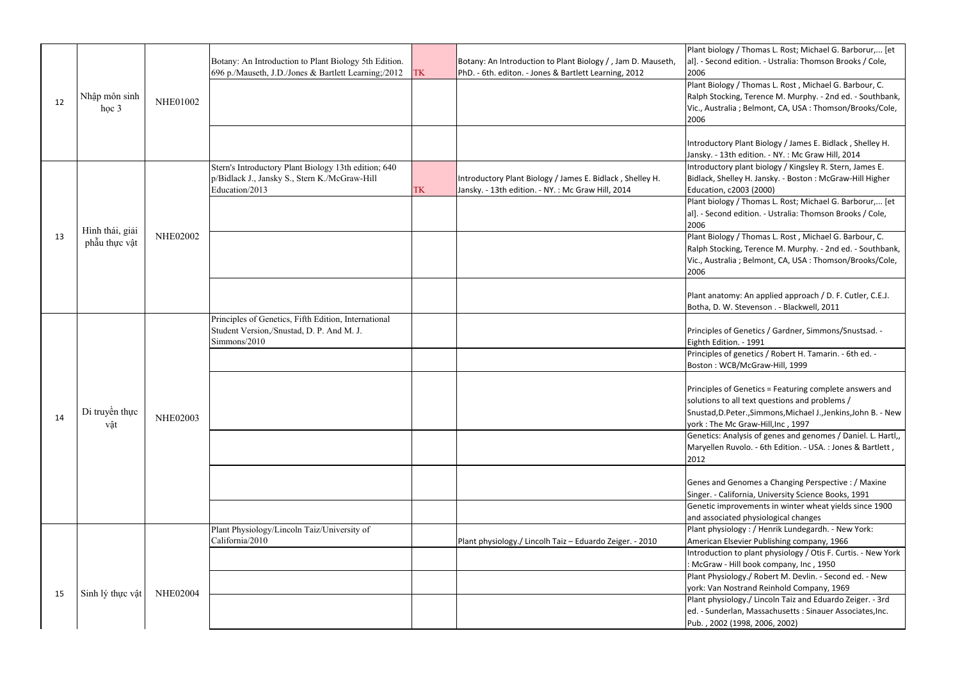Introductory plant biology / Kingsley R. Stern, James E. elley H. Jansky. - Boston : McGraw-Hill Higher c2003 (2000)

> pgy / Thomas L. Rost; Michael G. Barborur,... [et nd edition. - Ustralia: Thomson Brooks / Cole,

pgy / Thomas L. Rost, Michael G. Barbour, C. cking, Terence M. Murphy. - 2nd ed. - Southbank, ralia ; Belmont, CA, USA : Thomson/Brooks/Cole,

omy: An applied approach / D. F. Cutler, C.E.J. W. Stevenson . - Blackwell, 2011

of Genetics / Gardner, Simmons/Snustsad. tion. - 1991

 Principles of genetics / Robert H. Tamarin. - 6th ed. - VCB/McGraw-Hill, 1999

of Genetics = Featuring complete answers and to all text questions and problems / Snustad,D.Peter.,Simmons,Michael J.,Jenkins,John B. - New Mc Graw-Hill,Inc, 1997

 Genetics: Analysis of genes and genomes / Daniel. L. Hartl,, Ruvolo. - 6th Edition. - USA. : Jones & Bartlett,

Genomes a Changing Perspective : / Maxine alifornia, University Science Books, 1991 Genetic improvements in winter wheat yields since 1900 iated physiological changes iology : / Henrik Lundegardh. - New York: Elsevier Publishing company, 1966 Introduction to plant physiology / Otis F. Curtis. - New York - Hill book company, Inc, 1950 Plant Physiology./ Robert M. Devlin. - Second ed. - New Nostrand Reinhold Company, 1969 Plant physiology./ Lincoln Taiz and Eduardo Zeiger. - 3rd erlan, Massachusetts : Sinauer Associates,Inc. 2 (1998, 2006, 2002)

|    |                  |                 | Botany: An Introduction to Plant Biology 5th Edition. |           | Botany: An Introduction to Plant Biology /, Jam D. Mauseth, | Plant biolo<br>al]. - Secor |
|----|------------------|-----------------|-------------------------------------------------------|-----------|-------------------------------------------------------------|-----------------------------|
|    |                  |                 | 696 p./Mauseth, J.D./Jones & Bartlett Learning;/2012  | <b>TK</b> | PhD. - 6th. editon. - Jones & Bartlett Learning, 2012       | 2006                        |
|    |                  |                 |                                                       |           |                                                             | <b>Plant Biold</b>          |
| 12 | Nhập môn sinh    | <b>NHE01002</b> |                                                       |           |                                                             | <b>Ralph Stoc</b>           |
|    | học $3$          |                 |                                                       |           |                                                             | Vic., Austra                |
|    |                  |                 |                                                       |           |                                                             | 2006                        |
|    |                  |                 |                                                       |           |                                                             | Introducto                  |
|    |                  |                 |                                                       |           |                                                             | Jansky. - 1                 |
|    |                  |                 | Stern's Introductory Plant Biology 13th edition; 640  |           |                                                             | Introducto                  |
|    |                  |                 | p/Bidlack J., Jansky S., Stern K./McGraw-Hill         |           | Introductory Plant Biology / James E. Bidlack, Shelley H.   | Bidlack, Sh                 |
|    |                  |                 | Education/2013                                        | <b>TK</b> | Jansky. - 13th edition. - NY. : Mc Graw Hill, 2014          | Education,                  |
|    |                  |                 |                                                       |           |                                                             | Plant biolo                 |
|    |                  |                 |                                                       |           |                                                             | al]. - Secor                |
|    |                  |                 |                                                       |           |                                                             | 2006                        |
| 13 | Hình thái, giải  | <b>NHE02002</b> |                                                       |           |                                                             | <b>Plant Biold</b>          |
|    | phẫu thực vật    |                 |                                                       |           |                                                             | <b>Ralph Stoc</b>           |
|    |                  |                 |                                                       |           |                                                             | Vic., Austra                |
|    |                  |                 |                                                       |           |                                                             | 2006                        |
|    |                  |                 |                                                       |           |                                                             | Plant anat                  |
|    |                  |                 |                                                       |           |                                                             | Botha, D. \                 |
|    |                  |                 | Principles of Genetics, Fifth Edition, International  |           |                                                             |                             |
|    |                  |                 | Student Version,/Snustad, D. P. And M. J.             |           |                                                             | <b>Principles</b>           |
|    |                  |                 | Simmons/2010                                          |           |                                                             | Eighth Edit                 |
|    |                  |                 |                                                       |           |                                                             | Principles                  |
|    |                  |                 |                                                       |           |                                                             | Boston: W                   |
|    |                  |                 |                                                       |           |                                                             | <b>Principles</b>           |
|    |                  |                 |                                                       |           |                                                             | solutions t                 |
|    | Di truyền thực   |                 |                                                       |           |                                                             | Snustad, D.                 |
| 14 | vật              | <b>NHE02003</b> |                                                       |           |                                                             | york: The                   |
|    |                  |                 |                                                       |           |                                                             | Genetics: A                 |
|    |                  |                 |                                                       |           |                                                             | Maryellen                   |
|    |                  |                 |                                                       |           |                                                             | 2012                        |
|    |                  |                 |                                                       |           |                                                             |                             |
|    |                  |                 |                                                       |           |                                                             | Genes and                   |
|    |                  |                 |                                                       |           |                                                             | Singer. - Ca                |
|    |                  |                 |                                                       |           |                                                             | Genetic im                  |
|    |                  |                 |                                                       |           |                                                             | and associ                  |
|    |                  |                 | Plant Physiology/Lincoln Taiz/University of           |           |                                                             | Plant phys                  |
|    |                  |                 | California/2010                                       |           | Plant physiology./ Lincolh Taiz - Eduardo Zeiger. - 2010    | American I                  |
|    |                  |                 |                                                       |           |                                                             | Introductio                 |
|    |                  |                 |                                                       |           |                                                             | : McGraw                    |
|    |                  |                 |                                                       |           |                                                             | Plant Phys                  |
|    |                  |                 |                                                       |           |                                                             | york: Van I                 |
| 15 | Sinh lý thực vật | <b>NHE02004</b> |                                                       |           |                                                             | Plant phys                  |
|    |                  |                 |                                                       |           |                                                             | ed. - Sund                  |
|    |                  |                 |                                                       |           |                                                             | Pub., 2002                  |
|    |                  |                 |                                                       |           |                                                             |                             |

pgy / Thomas L. Rost; Michael G. Barborur,... [et nd edition. - Ustralia: Thomson Brooks / Cole,

Plant Biology / Thomas L. Rost, Michael G. Barbour, C. cking, Terence M. Murphy. - 2nd ed. - Southbank, ralia ; Belmont, CA, USA : Thomson/Brooks/Cole,

Introductory Plant Biology / James E. Bidlack , Shelley H. 13th edition. - NY. : Mc Graw Hill, 2014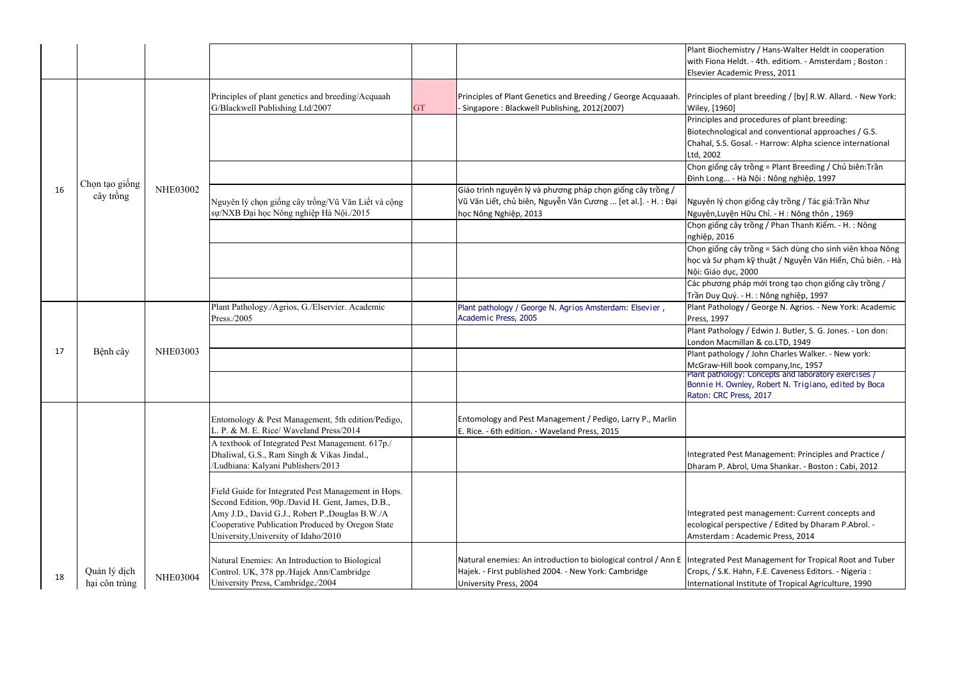Principles of plant breeding / [by] R.W. Allard. - New York: )60]

 Principles and procedures of plant breeding: blogical and conventional approaches / G.S. S. Gosal. - Harrow: Alpha science international

Chọn giống cây trồng = Plant Breeding / Chủ biên:Trần ... - Hà Nội : Nông nghiệp, 1997

> $\dot{\theta}$  chọn giống cây trồng / Tác giả:Trần Như uyện Hữu Chỉ. - H : Nông thôn , 1969

 Chọn giống cây trồng / Phan Thanh Kiếm. - H. : Nông ጋ16

 Chọn giống cây trồng = Sách dùng cho sinh viên khoa Nông phạm kỹ thuật / Nguyễn Văn Hiển, Chủ biên. - Hà dục, 2000

 Các phương pháp mới trong tạo chọn giống cây trồng / Quý. - H. : Nông nghiệp, 1997

 Plant Pathology / George N. Agrios. - New York: Academic  $97<sup>°</sup>$ 

 Plant Pathology / Edwin J. Butler, S. G. Jones. - Lon don: lacmillan & co.LTD, 1949

 Plant pathology / John Charles Walker. - New york: Hill book company, Inc, 1957

 Plant pathology: Concepts and laboratory exercises / Bonnie H. Ownley, Robert N. Trigiano, edited by Boca C Press, 2017

> Pest Management: Principles and Practice / Abrol, Uma Shankar. - Boston : Cabi, 2012

pest management: Current concepts and I perspective / Edited by Dharam P.Abrol. m: Academic Press, 2014

Pest Management for Tropical Root and Tuber K. Hahn, F.E. Caveness Editors. - Nigeria : Internal Institute of Tropical Agriculture, 1990

|    |                |                 |                                                                                                                                                                                                                |           |                                                                                                                             | <b>Plant Biocl</b><br>with Fiona |
|----|----------------|-----------------|----------------------------------------------------------------------------------------------------------------------------------------------------------------------------------------------------------------|-----------|-----------------------------------------------------------------------------------------------------------------------------|----------------------------------|
|    |                |                 |                                                                                                                                                                                                                |           |                                                                                                                             | <b>Elsevier Ad</b>               |
|    |                |                 | Principles of plant genetics and breeding/Acquaah<br>G/Blackwell Publishing Ltd/2007                                                                                                                           | <b>GT</b> | Principles of Plant Genetics and Breeding / George Acquaaah. Principles<br>Singapore: Blackwell Publishing, 2012(2007)      | <b>Wiley, [19</b>                |
|    |                |                 |                                                                                                                                                                                                                |           |                                                                                                                             | Principles<br>Biotechno          |
|    |                |                 |                                                                                                                                                                                                                |           |                                                                                                                             | Chahal, S.<br>Ltd, 2002          |
|    |                |                 |                                                                                                                                                                                                                |           |                                                                                                                             | Chọn giốn                        |
|    | Chọn tạo giống |                 |                                                                                                                                                                                                                |           |                                                                                                                             | Đình Long.                       |
| 16 | cây trồng      | <b>NHE03002</b> | Nguyên lý chọn giống cây trồng/Vũ Văn Liết và cộng<br>sự/NXB Đại học Nông nghiệp Hà Nội./2015                                                                                                                  |           | Giáo trình nguyên lý và phương pháp chọn giống cây trồng /<br>Vũ Văn Liết, chủ biên, Nguyễn Văn Cương  [et al.]. - H. : Đại | Nguyên lý                        |
|    |                |                 |                                                                                                                                                                                                                |           | học Nông Nghiệp, 2013                                                                                                       | Nguyện, Lu<br>Chọn giốn          |
|    |                |                 |                                                                                                                                                                                                                |           |                                                                                                                             | nghiệp, 20                       |
|    |                |                 |                                                                                                                                                                                                                |           |                                                                                                                             | Chọn giốn                        |
|    |                |                 |                                                                                                                                                                                                                |           |                                                                                                                             | học và Sư                        |
|    |                |                 |                                                                                                                                                                                                                |           |                                                                                                                             | Nội: Giáo<br>Các phươn           |
|    |                |                 |                                                                                                                                                                                                                |           |                                                                                                                             | Trần Duy (                       |
|    |                |                 | Plant Pathology./Agrios, G./Elservier. Academic                                                                                                                                                                |           | Plant pathology / George N. Agrios Amsterdam: Elsevier,                                                                     | <b>Plant Path</b>                |
|    |                |                 | Press./2005                                                                                                                                                                                                    |           | Academic Press, 2005                                                                                                        | Press, 199                       |
|    |                |                 |                                                                                                                                                                                                                |           |                                                                                                                             | <b>Plant Path</b>                |
|    |                |                 |                                                                                                                                                                                                                |           |                                                                                                                             | London M                         |
| 17 | Bệnh cây       | <b>NHE03003</b> |                                                                                                                                                                                                                |           |                                                                                                                             | Plant path                       |
|    |                |                 |                                                                                                                                                                                                                |           |                                                                                                                             | McGraw-H                         |
|    |                |                 |                                                                                                                                                                                                                |           |                                                                                                                             | Plant path<br>Bonnie H.          |
|    |                |                 |                                                                                                                                                                                                                |           |                                                                                                                             | Raton: CR                        |
|    |                |                 | Entomology & Pest Management, 5th edition/Pedigo,<br>L. P. & M. E. Rice/ Waveland Press/2014                                                                                                                   |           | Entomology and Pest Management / Pedigo, Larry P., Marlin<br>E. Rice. - 6th edition. - Waveland Press, 2015                 |                                  |
|    |                |                 | A textbook of Integrated Pest Management. 617p./<br>Dhaliwal, G.S., Ram Singh & Vikas Jindal.,<br>/Ludhiana: Kalyani Publishers/2013                                                                           |           |                                                                                                                             | Integrated<br>Dharam P.          |
|    |                |                 | Field Guide for Integrated Pest Management in Hops.<br>Second Edition, 90p./David H. Gent, James, D.B.,<br>Amy J.D., David G.J., Robert P., Douglas B.W./A<br>Cooperative Publication Produced by Oregon State |           |                                                                                                                             | Integrated<br>ecological         |
|    |                |                 | University, University of Idaho/2010                                                                                                                                                                           |           |                                                                                                                             | Amsterdar                        |
| 18 | Quản lý dịch   | <b>NHE03004</b> | Natural Enemies: An Introduction to Biological<br>Control. UK, 378 pp./Hajek Ann/Cambridge                                                                                                                     |           | Natural enemies: An introduction to biological control / Ann E<br>Hajek. - First published 2004. - New York: Cambridge      | Integrated<br>Crops, / S.        |
|    | hại côn trùng  |                 | University Press, Cambridge,/2004                                                                                                                                                                              |           | University Press, 2004                                                                                                      | Internatio                       |

hemistry / Hans-Walter Heldt in cooperation Heldt. - 4th. editiom. - Amsterdam ; Boston : cademic Press, 2011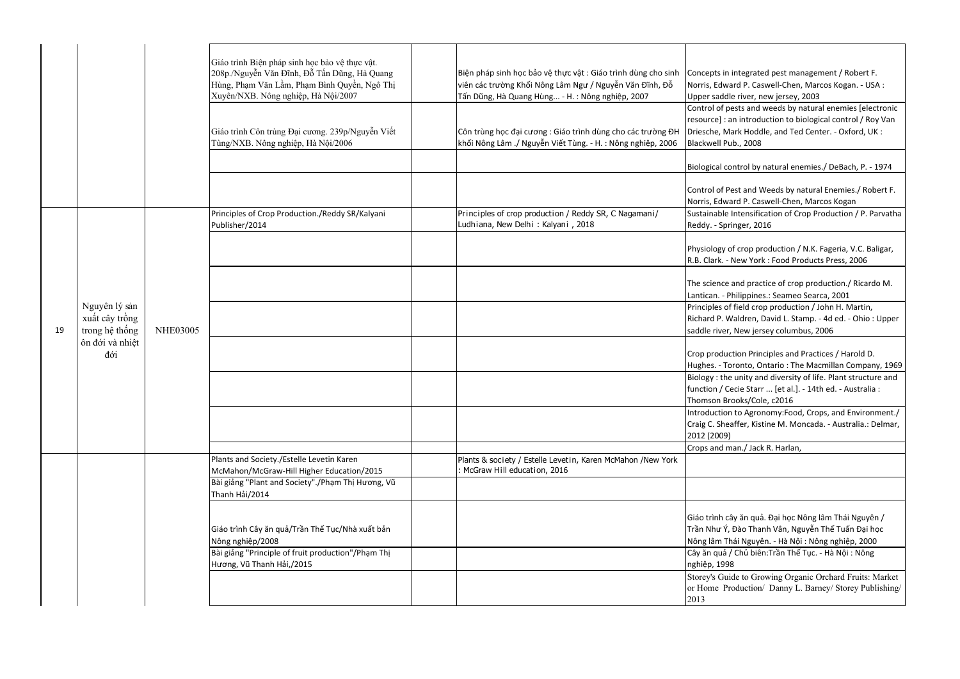Control of pests and weeds by natural enemies [electronic an introduction to biological control / Roy Van Mark Hoddle, and Ted Center. - Oxford, UK : Pub., 2008

control by natural enemies./ DeBach, P. - 1974

Pest and Weeds by natural Enemies./ Robert F. ward P. Caswell-Chen, Marcos Kogan Sustainable Intensification of Crop Production / P. Parvatha pringer, 2016

> of crop production / N.K. Fageria, V.C. Baligar, - New York : Food Products Press, 2006

> ce and practice of crop production./ Ricardo M. Philippines.: Seameo Searca, 2001

 Principles of field crop production / John H. Martin, . Waldren, David L. Stamp. - 4d ed. - Ohio : Upper er, New jersey columbus, 2006

luction Principles and Practices / Harold D.

Toronto, Ontario : The Macmillan Company, 1969 Biology : the unity and diversity of life. Plant structure and Gecie Starr ... [et al.]. - 14th ed. - Australia : Brooks/Cole, c2016

 Introduction to Agronomy:Food, Crops, and Environment./ heaffer, Kistine M. Moncada. - Australia.: Delmar, )9)

I man./ Jack R. Harlan,

i cây ăn quả. Đại học Nông lâm Thái Nguyên / Ý, Đào Thanh Vân, Nguyễn Thế Tuấn Đại học Thái Nguyên. - Hà Nội : Nông nghiệp, 2000 Cây ăn quả / Chủ biên:Trần Thế Tục. - Hà Nội : Nông 998

|    |                                   |                 | Giáo trình Biện pháp sinh học bảo vệ thực vật.<br>208p./Nguyễn Văn Đĩnh, Đỗ Tấn Dũng, Hà Quang<br>Hùng, Phạm Văn Lầm, Phạm Bình Quyền, Ngô Thị<br>Xuyên/NXB. Nông nghiệp, Hà Nội/2007 | Biện pháp sinh học bảo vệ thực vật : Giáo trình dùng cho sinh<br>viên các trường Khối Nông Lâm Ngư / Nguyễn Văn Đĩnh, Đỗ<br>Tấn Dũng, Hà Quang Hùng - H. : Nông nghiệp, 2007 | Concepts i<br>Norris, Edv<br>Upper sad                       |
|----|-----------------------------------|-----------------|---------------------------------------------------------------------------------------------------------------------------------------------------------------------------------------|------------------------------------------------------------------------------------------------------------------------------------------------------------------------------|--------------------------------------------------------------|
|    |                                   |                 | Giáo trình Côn trùng Đại cương. 239p/Nguyễn Viết<br>Tùng/NXB. Nông nghiệp, Hà Nội/2006                                                                                                | Côn trùng học đại cương : Giáo trình dùng cho các trường ĐH<br>khối Nông Lâm ./ Nguyễn Viết Tùng. - H. : Nông nghiệp, 2006                                                   | Control of<br>resource]<br>Driesche, I<br><b>Blackwell I</b> |
|    |                                   |                 |                                                                                                                                                                                       |                                                                                                                                                                              | <b>Biological</b>                                            |
|    |                                   |                 |                                                                                                                                                                                       |                                                                                                                                                                              | Control of<br>Norris, Edv                                    |
|    |                                   |                 | Principles of Crop Production./Reddy SR/Kalyani<br>Publisher/2014                                                                                                                     | Principles of crop production / Reddy SR, C Nagamani/<br>Ludhiana, New Delhi: Kalyani, 2018                                                                                  | Sustainabl<br>Reddy. - Sp                                    |
|    |                                   |                 |                                                                                                                                                                                       |                                                                                                                                                                              | Physiology<br>R.B. Clark.                                    |
|    |                                   |                 |                                                                                                                                                                                       |                                                                                                                                                                              | The scienc<br>Lantican. -                                    |
|    | Nguyên lý sản<br>xuất cây trồng   |                 |                                                                                                                                                                                       |                                                                                                                                                                              | Principles<br>Richard P.                                     |
| 19 | trong hệ thống<br>ôn đới và nhiệt | <b>NHE03005</b> |                                                                                                                                                                                       |                                                                                                                                                                              | saddle rive                                                  |
|    | đới                               |                 |                                                                                                                                                                                       |                                                                                                                                                                              | Crop prod<br>Hughes. -                                       |
|    |                                   |                 |                                                                                                                                                                                       |                                                                                                                                                                              | Biology: tl<br>function /<br>Thomson I                       |
|    |                                   |                 |                                                                                                                                                                                       |                                                                                                                                                                              | Introductio<br>Craig C. Sh                                   |
|    |                                   |                 |                                                                                                                                                                                       |                                                                                                                                                                              | 2012 (200<br>Crops and                                       |
|    |                                   |                 | Plants and Society./Estelle Levetin Karen<br>McMahon/McGraw-Hill Higher Education/2015                                                                                                | Plants & society / Estelle Levetin, Karen McMahon /New York<br>McGraw Hill education, 2016                                                                                   |                                                              |
|    |                                   |                 | Bài giảng "Plant and Society"./Phạm Thị Hương, Vũ<br>Thanh Hải/2014                                                                                                                   |                                                                                                                                                                              |                                                              |
|    |                                   |                 | Giáo trình Cây ăn quả/Trần Thế Tục/Nhà xuất bản                                                                                                                                       |                                                                                                                                                                              | Giáo trình<br>Trần Như <sup>y</sup>                          |
|    |                                   |                 | Nông nghiệp/2008<br>Bài giảng "Principle of fruit production"/Phạm Thị                                                                                                                |                                                                                                                                                                              | Nông lâm<br>Cây ăn quá                                       |
|    |                                   |                 | Hương, Vũ Thanh Hải,/2015                                                                                                                                                             |                                                                                                                                                                              | nghiệp, 19                                                   |
|    |                                   |                 |                                                                                                                                                                                       |                                                                                                                                                                              | Storey's G<br>or Home<br>2013                                |

in integrated pest management / Robert F. ward P. Caswell-Chen, Marcos Kogan. - USA : ddle river, new jersey, 2003

 Storey's Guide to Growing Organic Orchard Fruits: Market or Home Production/ Danny L. Barney/ Storey Publishing/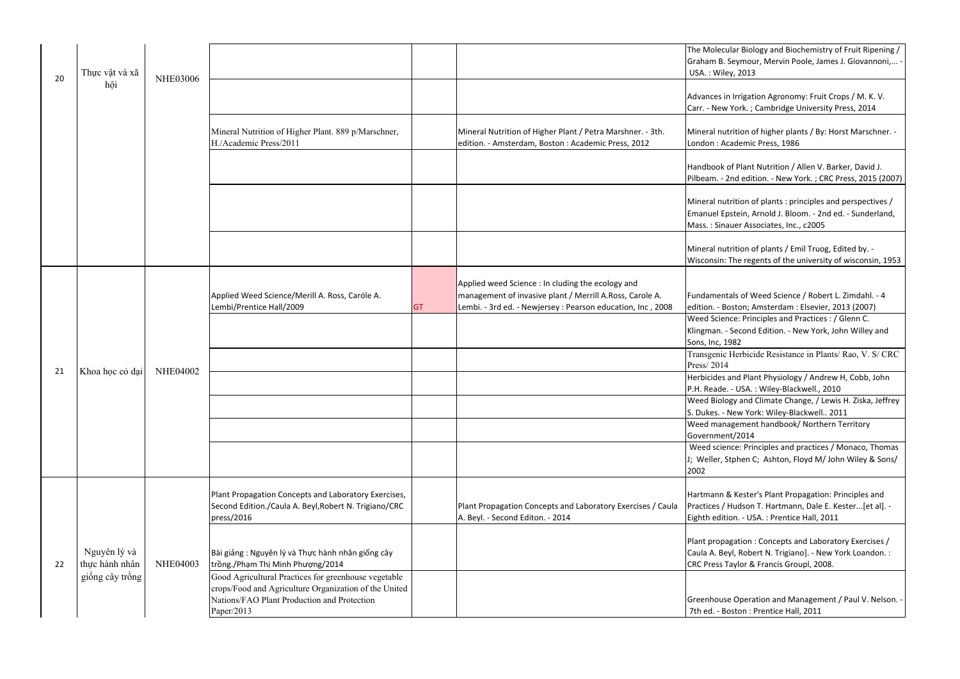Weed Biology and Climate Change, / Lewis H. Ziska, Jeffrey New York: Wiley-Blackwell.. 2011

 Weed management handbook/ Northern Territory ent/2014

 Weed science: Principles and practices / Monaco, Thomas Stphen C; Ashton, Floyd M/ John Wiley & Sons/

> & Kester's Plant Propagation: Principles and Hudson T. Hartmann, Dale E. Kester...[et al]. tion. - USA. : Prentice Hall, 2011

pagation : Concepts and Laboratory Exercises / eyl, Robert N. Trigiano]. - New York Loandon. : Taylor & Francis Groupl, 2008.

se Operation and Management / Paul V. Nelson. -Roston : Prentice Hall, 2011

Transgenic Herbicide Resistance in Plants/ Rao, V. S/ CRC

and Plant Physiology / Andrew H, Cobb, John e. - USA. : Wiley-Blackwell., 2010

|    |                 |                 |                                                       |           |                                                             | The Molecu         |
|----|-----------------|-----------------|-------------------------------------------------------|-----------|-------------------------------------------------------------|--------------------|
|    |                 |                 |                                                       |           |                                                             | Graham B.          |
|    | Thực vật và xã  |                 |                                                       |           |                                                             | USA.: Wile         |
| 20 | hội             | <b>NHE03006</b> |                                                       |           |                                                             |                    |
|    |                 |                 |                                                       |           |                                                             | Advances in        |
|    |                 |                 |                                                       |           |                                                             | Carr. - New        |
|    |                 |                 |                                                       |           |                                                             |                    |
|    |                 |                 | Mineral Nutrition of Higher Plant. 889 p/Marschner,   |           | Mineral Nutrition of Higher Plant / Petra Marshner. - 3th.  | Mineral nut        |
|    |                 |                 | H./Academic Press/2011                                |           | edition. - Amsterdam, Boston : Academic Press, 2012         | London: A          |
|    |                 |                 |                                                       |           |                                                             |                    |
|    |                 |                 |                                                       |           |                                                             | Handbook           |
|    |                 |                 |                                                       |           |                                                             |                    |
|    |                 |                 |                                                       |           |                                                             | Pilbeam. - 2       |
|    |                 |                 |                                                       |           |                                                             |                    |
|    |                 |                 |                                                       |           |                                                             | Mineral nut        |
|    |                 |                 |                                                       |           |                                                             | <b>Emanuel Ep</b>  |
|    |                 |                 |                                                       |           |                                                             | Mass.: Sina        |
|    |                 |                 |                                                       |           |                                                             |                    |
|    |                 |                 |                                                       |           |                                                             | Mineral nut        |
|    |                 |                 |                                                       |           |                                                             | Wisconsin:         |
|    |                 |                 |                                                       |           |                                                             |                    |
|    |                 |                 |                                                       |           | Applied weed Science : In cluding the ecology and           |                    |
|    |                 |                 | Applied Weed Science/Merill A. Ross, Caróle A.        |           | management of invasive plant / Merrill A.Ross, Carole A.    | Fundament          |
|    |                 |                 | Lembi/Prentice Hall/2009                              | <b>GT</b> | Lembi. - 3rd ed. - Newjersey : Pearson education, Inc, 2008 | edition. - B       |
|    |                 |                 |                                                       |           |                                                             | <b>Weed Scier</b>  |
|    |                 |                 |                                                       |           |                                                             | Klingman. -        |
|    |                 |                 |                                                       |           |                                                             | Sons, Inc, 1       |
|    |                 |                 |                                                       |           |                                                             | Transgenic         |
|    |                 |                 |                                                       |           |                                                             | Press/2014         |
| 21 | Khoa học cỏ dại | <b>NHE04002</b> |                                                       |           |                                                             | <b>Herbicides</b>  |
|    |                 |                 |                                                       |           |                                                             | P.H. Reade.        |
|    |                 |                 |                                                       |           |                                                             | <b>Weed Biold</b>  |
|    |                 |                 |                                                       |           |                                                             | S. Dukes. - I      |
|    |                 |                 |                                                       |           |                                                             | Weed mana          |
|    |                 |                 |                                                       |           |                                                             | Governmer          |
|    |                 |                 |                                                       |           |                                                             | Weed scie          |
|    |                 |                 |                                                       |           |                                                             |                    |
|    |                 |                 |                                                       |           |                                                             | J; Weller, S       |
|    |                 |                 |                                                       |           |                                                             | 2002               |
|    |                 |                 |                                                       |           |                                                             |                    |
|    |                 |                 | Plant Propagation Concepts and Laboratory Exercises,  |           |                                                             | Hartmann &         |
|    |                 |                 | Second Edition./Caula A. Beyl, Robert N. Trigiano/CRC |           | Plant Propagation Concepts and Laboratory Exercises / Caula | Practices /        |
|    |                 |                 | press/2016                                            |           | A. Beyl. - Second Editon. - 2014                            | Eighth editi       |
|    |                 |                 |                                                       |           |                                                             |                    |
|    |                 |                 |                                                       |           |                                                             | Plant propa        |
|    | Nguyên lý và    |                 | Bài giảng : Nguyên lý và Thực hành nhân giống cây     |           |                                                             | Caula A. Be        |
| 22 | thực hành nhân  | <b>NHE04003</b> | trồng./Phạm Thị Minh Phượng/2014                      |           |                                                             | <b>CRC Press T</b> |
|    | giống cây trồng |                 | Good Agricultural Practices for greenhouse vegetable  |           |                                                             |                    |
|    |                 |                 | crops/Food and Agriculture Organization of the United |           |                                                             |                    |
|    |                 |                 | Nations/FAO Plant Production and Protection           |           |                                                             | Greenhous          |
|    |                 |                 | Paper/2013                                            |           |                                                             | 7th ed. - B        |
|    |                 |                 |                                                       |           |                                                             |                    |

cular Biology and Biochemistry of Fruit Ripening / Graham B. Seymour, Mervin Poole, James J. Giovannoni,... ley, 2013

in Irrigation Agronomy: Fruit Crops / M. K. V. w York. ; Cambridge University Press, 2014

Itrition of higher plants / By: Horst Marschner. -Academic Press, 1986

of Plant Nutrition / Allen V. Barker, David J. 2nd edition. - New York. ; CRC Press, 2015 (2007)

Itrition of plants : principles and perspectives  $/$ Epstein, Arnold J. Bloom. - 2nd ed. - Sunderland, auer Associates, Inc., c2005

Itrition of plants / Emil Truog, Edited by. -: The regents of the university of wisconsin, 1953

1tals of Weed Science / Robert L. Zimdahl. - 4 Boston; Amsterdam : Elsevier, 2013 (2007)

ence: Principles and Practices : / Glenn C.

- Second Edition. - New York, John Willey and 1982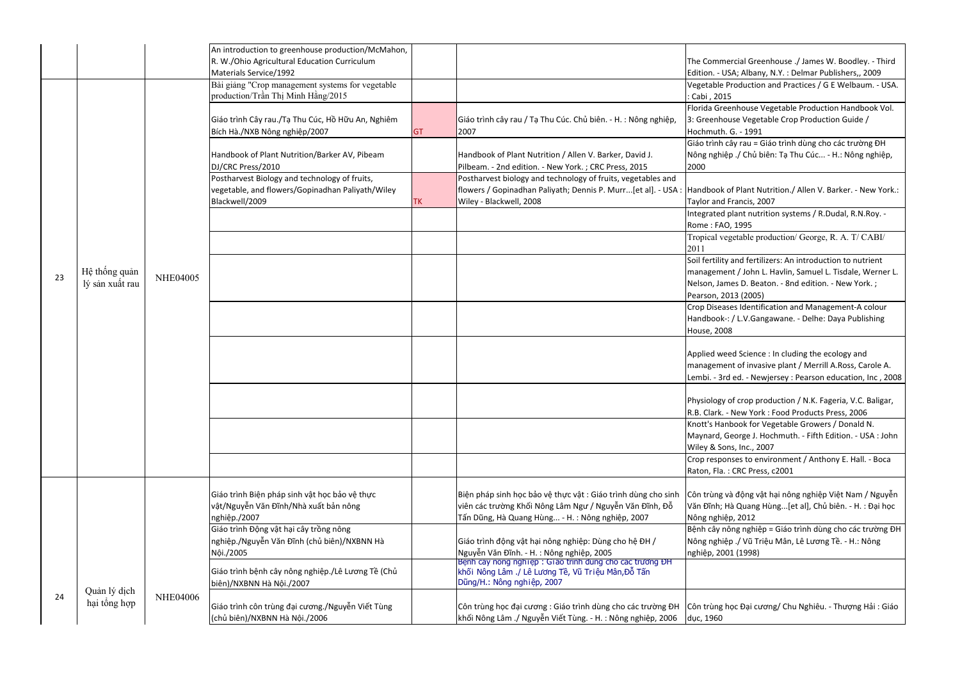Florida Greenhouse Vegetable Production Handbook Vol. ouse Vegetable Crop Production Guide / l. G. - 1991

 Giáo trình cây rau = Giáo trình dùng cho các trường ĐH iệp ./ Chủ biên: Tạ Thu Cúc... - H.: Nông nghiệp,

> of Plant Nutrition./ Allen V. Barker. - New York.: Francis, 2007

 Integrated plant nutrition systems / R.Dudal, R.N.Roy. - Ro, 1995

 Crop Diseases Identification and Management-A colour :-: / L.V.Gangawane. - Delhe: Daya Publishing 08

> reed Science : In cluding the ecology and ent of invasive plant / Merrill A.Ross, Carole A. rd ed. - Newjersey : Pearson education, Inc , 2008

of crop production / N.K. Fageria, V.C. Baligar, - New York : Food Products Press, 2006

 Crop responses to environment / Anthony E. Hall. - Boca  $R:$  CRC Press, c2001

> và động vật hại nông nghiệp Việt Nam / Nguyễn Hà Quang Hùng...[et al], Chủ biên. - H. : Đại học iệp, 2012

 Bệnh cây nông nghiệp = Giáo trình dùng cho các trường ĐH Nông nghiệp ./ Vũ Triệu Mân, Lê Lương Tề. - H.: Nông 001 (1998)

; học Đại cương/ Chu Nghiêu. - Thượng Hải : Giáo

Tropical vegetable production/ George, R. A. T/ CABI/

ty and fertilizers: An introduction to nutrient ent / John L. Havlin, Samuel L. Tisdale, Werner L. mes D. Beaton. - 8nd edition. - New York. ; 2013 (2005)

|    |                 |                 | An introduction to greenhouse production/McMahon, |           |                                                                                                      |               |
|----|-----------------|-----------------|---------------------------------------------------|-----------|------------------------------------------------------------------------------------------------------|---------------|
|    |                 |                 | R. W./Ohio Agricultural Education Curriculum      |           |                                                                                                      | The Comm      |
|    |                 |                 | Materials Service/1992                            |           |                                                                                                      | Edition. - L  |
|    |                 |                 | Bài giảng "Crop management systems for vegetable  |           |                                                                                                      | Vegetable     |
|    |                 |                 | production/Trần Thị Minh Hằng/2015                |           |                                                                                                      | Cabi, 201     |
|    |                 |                 |                                                   |           |                                                                                                      | Florida Gre   |
|    |                 |                 | Giáo trình Cây rau./Tạ Thu Cúc, Hồ Hữu An, Nghiêm |           | Giáo trình cây rau / Tạ Thu Cúc. Chủ biên. - H. : Nông nghiệp,                                       | 3: Greenho    |
|    |                 |                 | Bích Hà./NXB Nông nghiệp/2007                     | <b>GT</b> | 2007                                                                                                 | Hochmuth      |
|    |                 |                 |                                                   |           |                                                                                                      | Giáo trình    |
|    |                 |                 | Handbook of Plant Nutrition/Barker AV, Pibeam     |           | Handbook of Plant Nutrition / Allen V. Barker, David J.                                              | Nông nghi     |
|    |                 |                 | DJ/CRC Press/2010                                 |           | Pilbeam. - 2nd edition. - New York. ; CRC Press, 2015                                                | 2000          |
|    |                 |                 | Postharvest Biology and technology of fruits,     |           | Postharvest biology and technology of fruits, vegetables and                                         |               |
|    |                 |                 | vegetable, and flowers/Gopinadhan Paliyath/Wiley  |           | flowers / Gopinadhan Paliyath; Dennis P. Murr[et al]. - USA : Handbook                               |               |
|    |                 |                 | Blackwell/2009                                    | <b>TK</b> | Wiley - Blackwell, 2008                                                                              | Taylor and    |
|    |                 |                 |                                                   |           |                                                                                                      | Integrated    |
|    |                 |                 |                                                   |           |                                                                                                      | Rome: FA      |
|    |                 |                 |                                                   |           |                                                                                                      | Tropical v    |
|    |                 |                 |                                                   |           |                                                                                                      | 2011          |
|    |                 |                 |                                                   |           |                                                                                                      | Soil fertilit |
| 23 | Hệ thống quản   | <b>NHE04005</b> |                                                   |           |                                                                                                      | manageme      |
|    | lý sản xuất rau |                 |                                                   |           |                                                                                                      | Nelson, Jar   |
|    |                 |                 |                                                   |           |                                                                                                      | Pearson, 2    |
|    |                 |                 |                                                   |           |                                                                                                      | Crop Disea    |
|    |                 |                 |                                                   |           |                                                                                                      | Handbook      |
|    |                 |                 |                                                   |           |                                                                                                      | House, 20     |
|    |                 |                 |                                                   |           |                                                                                                      |               |
|    |                 |                 |                                                   |           |                                                                                                      | Applied we    |
|    |                 |                 |                                                   |           |                                                                                                      | manageme      |
|    |                 |                 |                                                   |           |                                                                                                      | Lembi. - 3r   |
|    |                 |                 |                                                   |           |                                                                                                      |               |
|    |                 |                 |                                                   |           |                                                                                                      | Physiology    |
|    |                 |                 |                                                   |           |                                                                                                      | R.B. Clark.   |
|    |                 |                 |                                                   |           |                                                                                                      | Knott's Ha    |
|    |                 |                 |                                                   |           |                                                                                                      | Maynard,      |
|    |                 |                 |                                                   |           |                                                                                                      | Wiley & Sc    |
|    |                 |                 |                                                   |           |                                                                                                      | Crop respo    |
|    |                 |                 |                                                   |           |                                                                                                      | Raton, Fla.   |
|    |                 |                 |                                                   |           |                                                                                                      |               |
|    |                 |                 | Giáo trình Biện pháp sinh vật học bảo vệ thực     |           | Biện pháp sinh học bảo vệ thực vật : Giáo trình dùng cho sinh                                        | Côn trùng     |
|    |                 |                 | vật/Nguyễn Văn Đĩnh/Nhà xuất bản nông             |           | viên các trường Khối Nông Lâm Ngư / Nguyễn Văn Đĩnh, Đỗ                                              | Văn Đĩnh;     |
|    |                 |                 | nghiệp./2007                                      |           | Tấn Dũng, Hà Quang Hùng - H. : Nông nghiệp, 2007                                                     | Nông nghi     |
|    |                 |                 | Giáo trình Động vật hại cây trồng nông            |           |                                                                                                      | Bệnh cây r    |
|    |                 |                 | nghiệp./Nguyễn Văn Đĩnh (chủ biên)/NXBNN Hà       |           | Giáo trình động vật hại nông nghiệp: Dùng cho hệ ĐH /                                                | Nông nghi     |
|    |                 |                 | Nội./2005                                         |           | Nguyễn Văn Đĩnh. - H.: Nông nghiệp, 2005<br>Bẹnh cay nong nghiẹp : Giao trinh dung cho cac trương ĐH | nghiệp, 20    |
|    |                 |                 | Giáo trình bệnh cây nông nghiệp./Lê Lương Tề (Chủ |           | khối Nông Lâm ./ Lê Lương Tề, Vũ Triệu Mân,Đỗ Tấn                                                    |               |
|    |                 |                 | biên)/NXBNN Hà Nội./2007                          |           | Dũng/H.: Nông nghiệp, 2007                                                                           |               |
| 24 | Quản lý dịch    | <b>NHE04006</b> |                                                   |           |                                                                                                      |               |
|    | hại tổng hợp    |                 | Giáo trình côn trùng đại cương./Nguyễn Viết Tùng  |           | Côn trùng học đại cương : Giáo trình dùng cho các trường ĐH                                          | Côn trùng     |
|    |                 |                 | (chủ biên)/NXBNN Hà Nội./2006                     |           | khối Nông Lâm ./ Nguyễn Viết Tùng. - H. : Nông nghiệp, 2006                                          | dục, 1960     |
|    |                 |                 |                                                   |           |                                                                                                      |               |

nercial Greenhouse ./ James W. Boodley. - Third USA; Albany, N.Y. : Delmar Publishers,, 2009 Vegetable Production and Practices / G E Welbaum. - USA.  $15<sub>2</sub>$ 

Knott's Hanbook for Vegetable Growers / Donald N.

George J. Hochmuth. - Fifth Edition. - USA : John ons, Inc., 2007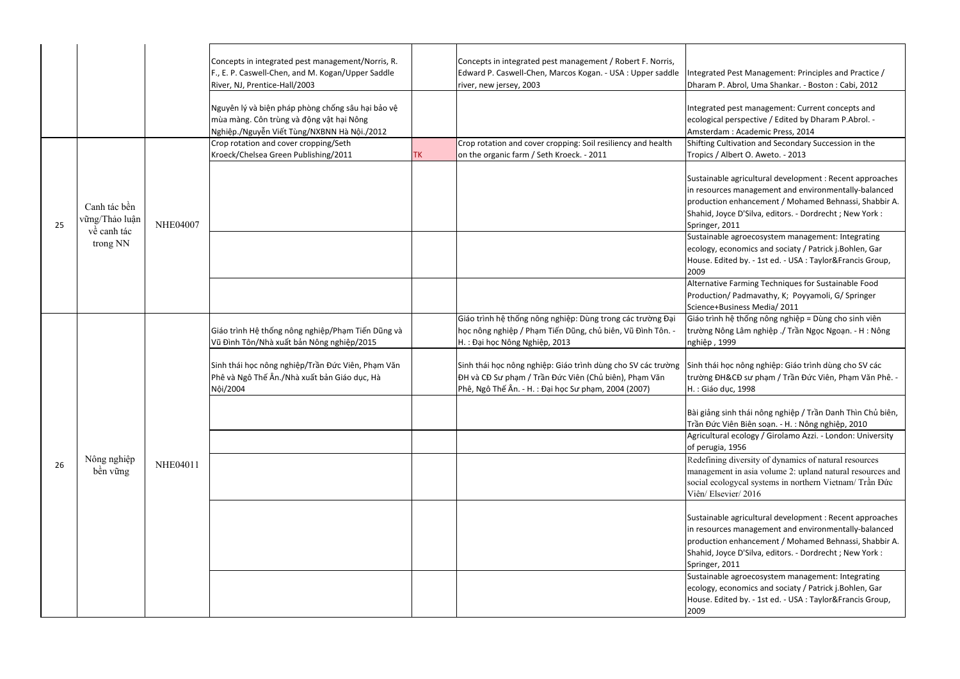Shifting Cultivation and Secondary Succession in the Ibert O. Aweto. - 2013

> le agricultural development : Recent approaches es management and environmentally-balanced enhancement / Mohamed Behnassi, Shabbir A. yce D'Silva, editors. - Dordrecht ; New York :  $2011$

 Sustainable agroecosystem management: Integrating conomics and sociaty / Patrick j.Bohlen, Gar ited by. - 1st ed. - USA : Taylor&Francis Group,

> **Farming Techniques for Sustainable Food** 1/ Padmavathy, K; Poyyamoli, G/ Springer usiness Media/ 2011

 Giáo trình hệ thống nông nghiệp = Dùng cho sinh viên ng Lâm nghiệp ./ Trần Ngọc Ngoạn. - H : Nông 999

> oc nông nghiệp: Giáo trình dùng cho SV các t&CĐ sư phạm / Trần Đức Viên, Phạm Văn Phê. ục, 1998

inh thái nông nghiệp / Trần Danh Thìn Chủ biên, Viên Biên soạn. - H. : Nông nghiệp, 2010 Agricultural ecology / Girolamo Azzi. - London: University of perugia, 1956

 Redefining diversity of dynamics of natural resources management in asia volume 2: upland natural resources and logycal systems in northern Vietnam/ Trần Đức vier/ 2016

Sustainable agricultural development : Recent approaches es management and environmentally-balanced enhancement / Mohamed Behnassi, Shabbir A. yce D'Silva, editors. - Dordrecht ; New York : <u>2011</u>

 Sustainable agroecosystem management: Integrating conomics and sociaty / Patrick j.Bohlen, Gar ited by. - 1st ed. - USA : Taylor&Francis Group,

|    |                                               |                 | Concepts in integrated pest management/Norris, R.<br>F., E. P. Caswell-Chen, and M. Kogan/Upper Saddle<br>River, NJ, Prentice-Hall/2003      |           | Concepts in integrated pest management / Robert F. Norris,<br>Edward P. Caswell-Chen, Marcos Kogan. - USA : Upper saddle<br>river, new jersey, 2003                           | Integrated<br>Dharam P.                                                               |
|----|-----------------------------------------------|-----------------|----------------------------------------------------------------------------------------------------------------------------------------------|-----------|-------------------------------------------------------------------------------------------------------------------------------------------------------------------------------|---------------------------------------------------------------------------------------|
|    |                                               |                 | Nguyên lý và biện pháp phòng chống sâu hại bảo vệ<br>mùa màng. Côn trùng và động vật hại Nông<br>Nghiệp./Nguyễn Viết Tùng/NXBNN Hà Nội./2012 |           |                                                                                                                                                                               | Integrated<br>ecological<br>Amsterdar                                                 |
|    |                                               |                 | Crop rotation and cover cropping/Seth                                                                                                        |           | Crop rotation and cover cropping: Soil resiliency and health                                                                                                                  | <b>Shifting Cu</b>                                                                    |
|    |                                               |                 | Kroeck/Chelsea Green Publishing/2011                                                                                                         | <b>TK</b> | on the organic farm / Seth Kroeck. - 2011                                                                                                                                     | Tropics / A                                                                           |
| 25 | Canh tác bền<br>vững/Thảo luận<br>về canh tác | <b>NHE04007</b> |                                                                                                                                              |           |                                                                                                                                                                               | Sustainable<br>in resource<br>productior<br>Shahid, Joy<br>Springer, 2<br>Sustainable |
|    | trong NN                                      |                 |                                                                                                                                              |           |                                                                                                                                                                               | ecology, ed                                                                           |
|    |                                               |                 |                                                                                                                                              |           |                                                                                                                                                                               | House. Edi<br>2009                                                                    |
|    |                                               |                 |                                                                                                                                              |           |                                                                                                                                                                               | Alternative<br>Production<br>Science+Bu                                               |
|    |                                               |                 | Giáo trình Hệ thống nông nghiệp/Phạm Tiến Dũng và<br>Vũ Đình Tôn/Nhà xuất bản Nông nghiệp/2015                                               |           | Giáo trình hệ thống nông nghiệp: Dùng trong các trường Đại<br>học nông nghiệp / Phạm Tiến Dũng, chủ biên, Vũ Đình Tôn. -<br>H.: Đại học Nông Nghiệp, 2013                     | Giáo trình<br>trường Nô<br>nghiệp, 19                                                 |
|    |                                               |                 | Sinh thái học nông nghiệp/Trần Đức Viên, Phạm Văn<br>Phê và Ngô Thế Ân./Nhà xuất bản Giáo dục, Hà<br>Nội/2004                                |           | Sinh thái học nông nghiệp: Giáo trình dùng cho SV các trường<br>ĐH và CĐ Sư phạm / Trần Đức Viên (Chủ biên), Phạm Văn<br>Phê, Ngô Thế Ân. - H. : Đại học Sư phạm, 2004 (2007) | Sinh thái h<br>trường ĐH<br>H. : Giáo d                                               |
|    |                                               |                 |                                                                                                                                              |           |                                                                                                                                                                               | Bài giảng si<br>Trần Đức V                                                            |
|    |                                               |                 |                                                                                                                                              |           |                                                                                                                                                                               | Agricultura<br>of perugia,                                                            |
|    | Nông nghiệp                                   |                 |                                                                                                                                              |           |                                                                                                                                                                               | Redefining                                                                            |
| 26 | bền vững                                      | NHE04011        |                                                                                                                                              |           |                                                                                                                                                                               | manageme                                                                              |
|    |                                               |                 |                                                                                                                                              |           |                                                                                                                                                                               | social ecol                                                                           |
|    |                                               |                 |                                                                                                                                              |           |                                                                                                                                                                               | Viên/Else                                                                             |
|    |                                               |                 |                                                                                                                                              |           |                                                                                                                                                                               | Sustainable                                                                           |
|    |                                               |                 |                                                                                                                                              |           |                                                                                                                                                                               | in resource<br>productior                                                             |
|    |                                               |                 |                                                                                                                                              |           |                                                                                                                                                                               | Shahid, Joy                                                                           |
|    |                                               |                 |                                                                                                                                              |           |                                                                                                                                                                               | Springer, 2                                                                           |
|    |                                               |                 |                                                                                                                                              |           |                                                                                                                                                                               | Sustainable                                                                           |
|    |                                               |                 |                                                                                                                                              |           |                                                                                                                                                                               | ecology, ed                                                                           |
|    |                                               |                 |                                                                                                                                              |           |                                                                                                                                                                               | House. Edi                                                                            |
|    |                                               |                 |                                                                                                                                              |           |                                                                                                                                                                               | 2009                                                                                  |

Pest Management: Principles and Practice / Abrol, Uma Shankar. - Boston : Cabi, 2012

pest management: Current concepts and perspective / Edited by Dharam P.Abrol. m : Academic Press, 2014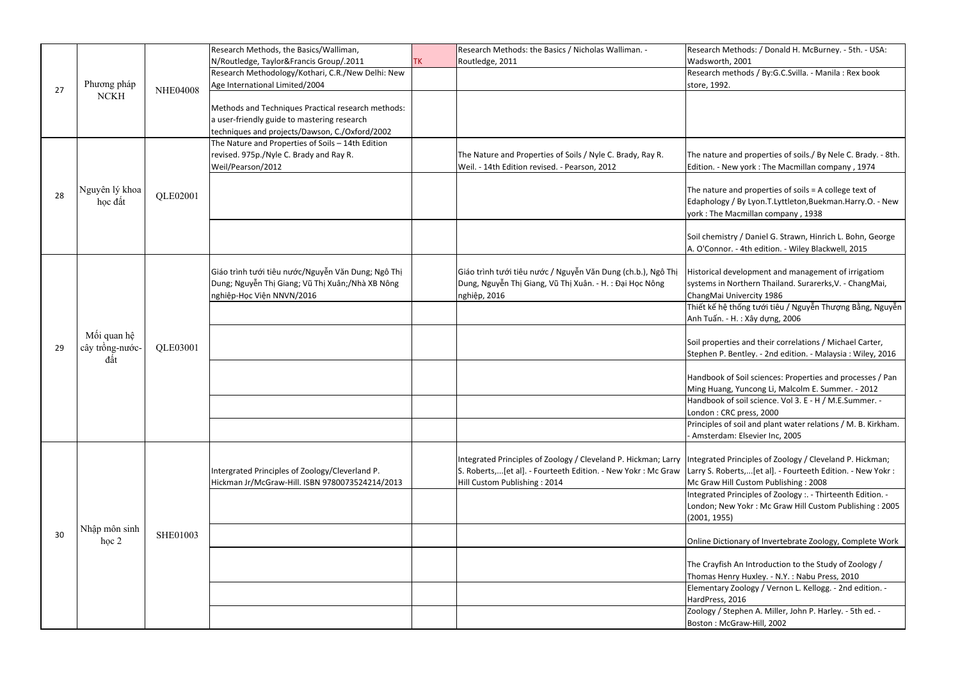Research methods / By:G.C.Svilla. - Manila : Rex book  $\mathcal{D}$ 

> e and properties of soils./ By Nele C. Brady. - 8th. New york : The Macmillan company, 1974

> and properties of soils = A college text of gy / By Lyon.T.Lyttleton,Buekman.Harry.O. - New Macmillan company, 1938

istry / Daniel G. Strawn, Hinrich L. Bohn, George or. - 4th edition. - Wiley Blackwell, 2015

development and management of irrigatiom Northern Thailand. Surarerks, V. - ChangMai, i Univercity 1986

| Research Methods: / Donald H. McBurney. - 5th. - USA: |  |
|-------------------------------------------------------|--|
| Wadsworth, 2001                                       |  |

 Thiết kế hệ thống tưới tiêu / Nguyễn Thượng Bằng, Nguyễn - H. : Xây dựng, 2006

> rties and their correlations / Michael Carter, Bentley. - 2nd edition. - Malaysia : Wiley, 2016

of Soil sciences: Properties and processes / Pan ng, Yuncong Li, Malcolm E. Summer. - 2012 Handbook of soil science. Vol 3. E - H / M.E.Summer. - CRC press, 2000

 Principles of soil and plant water relations / M. B. Kirkham. lam: Elsevier Inc, 2005

> Integrate of Zoology / Cleveland P. Hickman; oberts,...[et al]. - Fourteeth Edition. - New Yokr : Hill Custom Publishing : 2008

 Integrated Principles of Zoology :. - Thirteenth Edition. lew Yokr : Mc Graw Hill Custom Publishing : 2005 55)

tionary of Invertebrate Zoology, Complete Work

ish An Introduction to the Study of Zoology / enry Huxley. - N.Y. : Nabu Press, 2010 Elementary Zoology / Vernon L. Kellogg. - 2nd edition. - 2016 Zoology / Stephen A. Miller, John P. Harley. - 5th ed. -

IcGraw-Hill, 2002

|    |                                       |                 | Research Methods, the Basics/Walliman,                                                                                                              |           | Research Methods: the Basics / Nicholas Walliman. -                                                                                                                                | <b>Research Method</b>                                     |
|----|---------------------------------------|-----------------|-----------------------------------------------------------------------------------------------------------------------------------------------------|-----------|------------------------------------------------------------------------------------------------------------------------------------------------------------------------------------|------------------------------------------------------------|
|    |                                       |                 | N/Routledge, Taylor&Francis Group/.2011                                                                                                             | <b>TK</b> | Routledge, 2011                                                                                                                                                                    | Wadsworth, 2001                                            |
|    |                                       |                 | Research Methodology/Kothari, C.R./New Delhi: New                                                                                                   |           |                                                                                                                                                                                    | Research method                                            |
| 27 | Phương pháp                           | <b>NHE04008</b> | Age International Limited/2004                                                                                                                      |           |                                                                                                                                                                                    | store, 1992.                                               |
|    | <b>NCKH</b>                           |                 | Methods and Techniques Practical research methods:<br>a user-friendly guide to mastering research<br>techniques and projects/Dawson, C./Oxford/2002 |           |                                                                                                                                                                                    |                                                            |
|    |                                       |                 | The Nature and Properties of Soils - 14th Edition                                                                                                   |           |                                                                                                                                                                                    |                                                            |
|    |                                       |                 | revised. 975p./Nyle C. Brady and Ray R.<br>Weil/Pearson/2012                                                                                        |           | The Nature and Properties of Soils / Nyle C. Brady, Ray R.<br>Weil. - 14th Edition revised. - Pearson, 2012                                                                        | The nature and pr<br>Edition. - New yor                    |
| 28 | Nguyên lý khoa<br>học đất             | QLE02001        |                                                                                                                                                     |           |                                                                                                                                                                                    | The nature and pi<br>Edaphology / By L<br>york: The Macmil |
|    |                                       |                 |                                                                                                                                                     |           |                                                                                                                                                                                    | Soil chemistry / D<br>A. O'Connor. - 4th                   |
|    |                                       |                 | Giáo trình tưới tiêu nước/Nguyễn Văn Dung; Ngô Thị<br>Dung; Nguyễn Thị Giang; Vũ Thị Xuân;/Nhà XB Nông<br>nghiệp-Học Viện NNVN/2016                 |           | Giáo trình tưới tiêu nước / Nguyễn Văn Dung (ch.b.), Ngô Thị<br>Dung, Nguyễn Thị Giang, Vũ Thị Xuân. - H. : Đại Học Nông<br>nghiệp, 2016                                           | Historical develop<br>systems in Northe<br>ChangMai Univer |
|    |                                       |                 |                                                                                                                                                     |           |                                                                                                                                                                                    | Thiết kế hệ thống                                          |
|    |                                       | QLE03001        |                                                                                                                                                     |           |                                                                                                                                                                                    | Anh Tuấn. - H.: X                                          |
| 29 | Mối quan hệ<br>cây trồng-nước-<br>đất |                 |                                                                                                                                                     |           |                                                                                                                                                                                    | Soil properties an<br>Stephen P. Bentle                    |
|    |                                       |                 |                                                                                                                                                     |           |                                                                                                                                                                                    | Handbook of Soil<br>Ming Huang, Yund                       |
|    |                                       |                 |                                                                                                                                                     |           |                                                                                                                                                                                    | Handbook of soil                                           |
|    |                                       |                 |                                                                                                                                                     |           |                                                                                                                                                                                    | London : CRC pres                                          |
|    |                                       |                 |                                                                                                                                                     |           |                                                                                                                                                                                    | Principles of soil a                                       |
|    |                                       |                 |                                                                                                                                                     |           |                                                                                                                                                                                    | - Amsterdam: Else                                          |
|    |                                       |                 | Intergrated Principles of Zoology/Cleverland P.<br>Hickman Jr/McGraw-Hill. ISBN 9780073524214/2013                                                  |           | Integrated Principles of Zoology / Cleveland P. Hickman; Larry  Integrated Princip<br>S. Roberts,[et al]. - Fourteeth Edition. - New Yokr: Mc Graw<br>Hill Custom Publishing: 2014 | Larry S. Roberts,<br>Mc Graw Hill Cust                     |
|    |                                       |                 |                                                                                                                                                     |           |                                                                                                                                                                                    | <b>Integrated Princip</b>                                  |
|    |                                       |                 |                                                                                                                                                     |           |                                                                                                                                                                                    | London; New Yok                                            |
|    |                                       |                 |                                                                                                                                                     |           |                                                                                                                                                                                    | (2001, 1955)                                               |
| 30 | Nhập môn sinh<br>hoc <sub>2</sub>     | SHE01003        |                                                                                                                                                     |           |                                                                                                                                                                                    | Online Dictionary                                          |
|    |                                       |                 |                                                                                                                                                     |           |                                                                                                                                                                                    | The Crayfish An In                                         |
|    |                                       |                 |                                                                                                                                                     |           |                                                                                                                                                                                    | Thomas Henry Hu<br><b>Elementary Zoolo</b>                 |
|    |                                       |                 |                                                                                                                                                     |           |                                                                                                                                                                                    | HardPress, 2016                                            |
|    |                                       |                 |                                                                                                                                                     |           |                                                                                                                                                                                    | Zoology / Stepher                                          |
|    |                                       |                 |                                                                                                                                                     |           |                                                                                                                                                                                    | Boston: McGraw-                                            |
|    |                                       |                 |                                                                                                                                                     |           |                                                                                                                                                                                    |                                                            |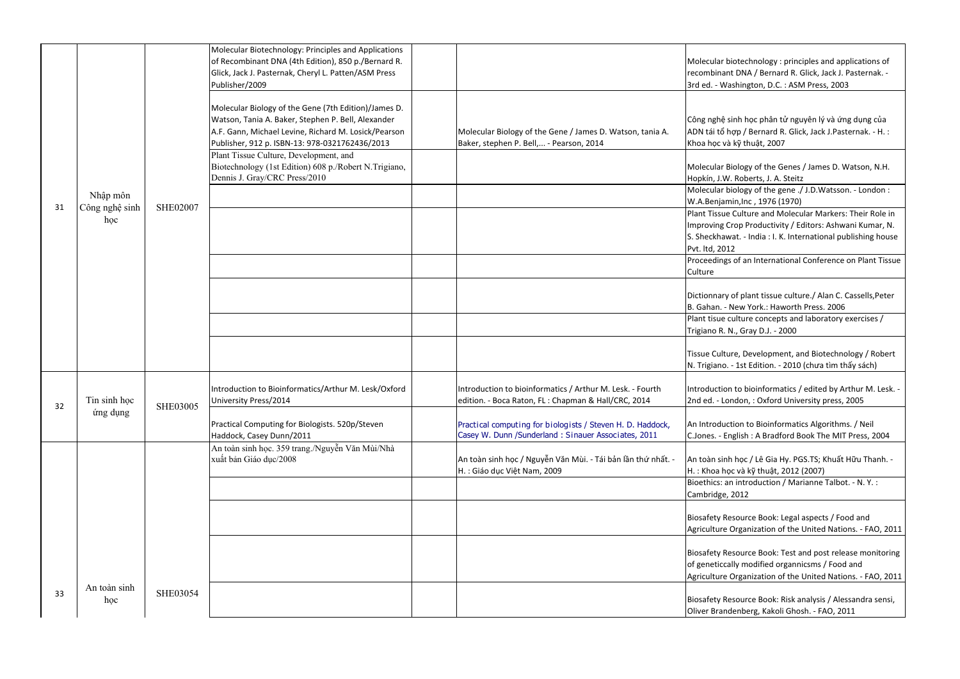Molecular biology of the gene ./ J.D.Watsson. - London : amin,Inc , 1976 (1970)

ue Culture and Molecular Markers: Their Role in I Crop Productivity / Editors: Ashwani Kumar, N. S. Sheckhawat. - India : I. K. International publishing house 012

 Plant tisue culture concepts and laboratory exercises / 2. N., Gray D.J. - 2000

> Iture, Development, and Biotechnology / Robert o. - 1st Edition. - 2010 (chưa tìm thấy sách)

ion to bioinformatics / edited by Arthur M. Lesk. -London, : Oxford University press, 2005

uction to Bioinformatics Algorithms. / Neil C.Jones. - English : A Bradford Book The MIT Press, 2004

> inh học / Lê Gia Hy. PGS.TS; Khuất Hữu Thanh. học và kỹ thuật, 2012 (2007)

an introduction / Marianne Talbot. - N. Y. : e, 2012

Resource Book: Legal aspects / Food and e Organization of the United Nations. - FAO, 2011

Resource Book: Test and post release monitoring cally modified organnicsms / Food and e Organization of the United Nations. - FAO, 2011

Resource Book: Risk analysis / Alessandra sensi, Indenberg, Kakoli Ghosh. - FAO, 2011

Proceedings of an International Conference on Plant Tissue

ry of plant tissue culture./ Alan C. Cassells, Peter - New York.: Haworth Press. 2006

|     |                                                               |                                    |                                                                                                                                                                                                                                                                                                                                                                                                                                                                                                                                                                                                                                                                                                                                                                    | Molecular                                                                                                                                                                                                                                                                                                                                |
|-----|---------------------------------------------------------------|------------------------------------|--------------------------------------------------------------------------------------------------------------------------------------------------------------------------------------------------------------------------------------------------------------------------------------------------------------------------------------------------------------------------------------------------------------------------------------------------------------------------------------------------------------------------------------------------------------------------------------------------------------------------------------------------------------------------------------------------------------------------------------------------------------------|------------------------------------------------------------------------------------------------------------------------------------------------------------------------------------------------------------------------------------------------------------------------------------------------------------------------------------------|
|     |                                                               |                                    |                                                                                                                                                                                                                                                                                                                                                                                                                                                                                                                                                                                                                                                                                                                                                                    | recombina                                                                                                                                                                                                                                                                                                                                |
|     |                                                               |                                    |                                                                                                                                                                                                                                                                                                                                                                                                                                                                                                                                                                                                                                                                                                                                                                    | 3rd ed. - V                                                                                                                                                                                                                                                                                                                              |
|     |                                                               |                                    |                                                                                                                                                                                                                                                                                                                                                                                                                                                                                                                                                                                                                                                                                                                                                                    |                                                                                                                                                                                                                                                                                                                                          |
|     |                                                               |                                    |                                                                                                                                                                                                                                                                                                                                                                                                                                                                                                                                                                                                                                                                                                                                                                    |                                                                                                                                                                                                                                                                                                                                          |
|     |                                                               |                                    |                                                                                                                                                                                                                                                                                                                                                                                                                                                                                                                                                                                                                                                                                                                                                                    |                                                                                                                                                                                                                                                                                                                                          |
|     |                                                               |                                    |                                                                                                                                                                                                                                                                                                                                                                                                                                                                                                                                                                                                                                                                                                                                                                    | Công nghệ                                                                                                                                                                                                                                                                                                                                |
|     |                                                               |                                    |                                                                                                                                                                                                                                                                                                                                                                                                                                                                                                                                                                                                                                                                                                                                                                    | ADN tái tổ                                                                                                                                                                                                                                                                                                                               |
|     |                                                               |                                    |                                                                                                                                                                                                                                                                                                                                                                                                                                                                                                                                                                                                                                                                                                                                                                    | Khoa học                                                                                                                                                                                                                                                                                                                                 |
|     |                                                               |                                    |                                                                                                                                                                                                                                                                                                                                                                                                                                                                                                                                                                                                                                                                                                                                                                    |                                                                                                                                                                                                                                                                                                                                          |
|     |                                                               |                                    |                                                                                                                                                                                                                                                                                                                                                                                                                                                                                                                                                                                                                                                                                                                                                                    | Molecular                                                                                                                                                                                                                                                                                                                                |
|     |                                                               |                                    |                                                                                                                                                                                                                                                                                                                                                                                                                                                                                                                                                                                                                                                                                                                                                                    |                                                                                                                                                                                                                                                                                                                                          |
|     |                                                               |                                    |                                                                                                                                                                                                                                                                                                                                                                                                                                                                                                                                                                                                                                                                                                                                                                    | Hopkín, J.                                                                                                                                                                                                                                                                                                                               |
|     |                                                               |                                    |                                                                                                                                                                                                                                                                                                                                                                                                                                                                                                                                                                                                                                                                                                                                                                    | Molecular                                                                                                                                                                                                                                                                                                                                |
|     |                                                               |                                    |                                                                                                                                                                                                                                                                                                                                                                                                                                                                                                                                                                                                                                                                                                                                                                    | W.A.Benja                                                                                                                                                                                                                                                                                                                                |
|     |                                                               |                                    |                                                                                                                                                                                                                                                                                                                                                                                                                                                                                                                                                                                                                                                                                                                                                                    | <b>Plant Tissu</b>                                                                                                                                                                                                                                                                                                                       |
|     |                                                               |                                    |                                                                                                                                                                                                                                                                                                                                                                                                                                                                                                                                                                                                                                                                                                                                                                    | Improving                                                                                                                                                                                                                                                                                                                                |
|     |                                                               |                                    |                                                                                                                                                                                                                                                                                                                                                                                                                                                                                                                                                                                                                                                                                                                                                                    | S. Sheckha                                                                                                                                                                                                                                                                                                                               |
|     |                                                               |                                    |                                                                                                                                                                                                                                                                                                                                                                                                                                                                                                                                                                                                                                                                                                                                                                    |                                                                                                                                                                                                                                                                                                                                          |
|     |                                                               |                                    |                                                                                                                                                                                                                                                                                                                                                                                                                                                                                                                                                                                                                                                                                                                                                                    | Pvt. Itd, 20                                                                                                                                                                                                                                                                                                                             |
|     |                                                               |                                    |                                                                                                                                                                                                                                                                                                                                                                                                                                                                                                                                                                                                                                                                                                                                                                    | Proceedin                                                                                                                                                                                                                                                                                                                                |
|     |                                                               |                                    |                                                                                                                                                                                                                                                                                                                                                                                                                                                                                                                                                                                                                                                                                                                                                                    | Culture                                                                                                                                                                                                                                                                                                                                  |
|     |                                                               |                                    |                                                                                                                                                                                                                                                                                                                                                                                                                                                                                                                                                                                                                                                                                                                                                                    |                                                                                                                                                                                                                                                                                                                                          |
|     |                                                               |                                    |                                                                                                                                                                                                                                                                                                                                                                                                                                                                                                                                                                                                                                                                                                                                                                    | Dictionnar                                                                                                                                                                                                                                                                                                                               |
|     |                                                               |                                    |                                                                                                                                                                                                                                                                                                                                                                                                                                                                                                                                                                                                                                                                                                                                                                    | B. Gahan.                                                                                                                                                                                                                                                                                                                                |
|     |                                                               |                                    |                                                                                                                                                                                                                                                                                                                                                                                                                                                                                                                                                                                                                                                                                                                                                                    |                                                                                                                                                                                                                                                                                                                                          |
|     |                                                               |                                    |                                                                                                                                                                                                                                                                                                                                                                                                                                                                                                                                                                                                                                                                                                                                                                    | Plant tisue                                                                                                                                                                                                                                                                                                                              |
|     |                                                               |                                    |                                                                                                                                                                                                                                                                                                                                                                                                                                                                                                                                                                                                                                                                                                                                                                    | Trigiano R                                                                                                                                                                                                                                                                                                                               |
|     |                                                               |                                    |                                                                                                                                                                                                                                                                                                                                                                                                                                                                                                                                                                                                                                                                                                                                                                    |                                                                                                                                                                                                                                                                                                                                          |
|     |                                                               |                                    |                                                                                                                                                                                                                                                                                                                                                                                                                                                                                                                                                                                                                                                                                                                                                                    | <b>Tissue Cul</b>                                                                                                                                                                                                                                                                                                                        |
|     |                                                               |                                    |                                                                                                                                                                                                                                                                                                                                                                                                                                                                                                                                                                                                                                                                                                                                                                    | N. Trigiano                                                                                                                                                                                                                                                                                                                              |
|     |                                                               |                                    |                                                                                                                                                                                                                                                                                                                                                                                                                                                                                                                                                                                                                                                                                                                                                                    |                                                                                                                                                                                                                                                                                                                                          |
|     |                                                               |                                    |                                                                                                                                                                                                                                                                                                                                                                                                                                                                                                                                                                                                                                                                                                                                                                    | Introducti                                                                                                                                                                                                                                                                                                                               |
|     |                                                               |                                    |                                                                                                                                                                                                                                                                                                                                                                                                                                                                                                                                                                                                                                                                                                                                                                    |                                                                                                                                                                                                                                                                                                                                          |
|     |                                                               |                                    |                                                                                                                                                                                                                                                                                                                                                                                                                                                                                                                                                                                                                                                                                                                                                                    | 2nd ed. - I                                                                                                                                                                                                                                                                                                                              |
|     |                                                               |                                    |                                                                                                                                                                                                                                                                                                                                                                                                                                                                                                                                                                                                                                                                                                                                                                    |                                                                                                                                                                                                                                                                                                                                          |
|     |                                                               |                                    | Practical computing for biologists / Steven H. D. Haddock,                                                                                                                                                                                                                                                                                                                                                                                                                                                                                                                                                                                                                                                                                                         | An Introdu                                                                                                                                                                                                                                                                                                                               |
|     |                                                               | Haddock, Casey Dunn/2011           | Casey W. Dunn / Sunderland: Sinauer Associates, 2011                                                                                                                                                                                                                                                                                                                                                                                                                                                                                                                                                                                                                                                                                                               | C.Jones. -                                                                                                                                                                                                                                                                                                                               |
|     |                                                               |                                    |                                                                                                                                                                                                                                                                                                                                                                                                                                                                                                                                                                                                                                                                                                                                                                    |                                                                                                                                                                                                                                                                                                                                          |
|     |                                                               |                                    |                                                                                                                                                                                                                                                                                                                                                                                                                                                                                                                                                                                                                                                                                                                                                                    | An toàn si                                                                                                                                                                                                                                                                                                                               |
|     |                                                               |                                    |                                                                                                                                                                                                                                                                                                                                                                                                                                                                                                                                                                                                                                                                                                                                                                    | H.: Khoa l                                                                                                                                                                                                                                                                                                                               |
|     |                                                               |                                    |                                                                                                                                                                                                                                                                                                                                                                                                                                                                                                                                                                                                                                                                                                                                                                    |                                                                                                                                                                                                                                                                                                                                          |
|     |                                                               |                                    |                                                                                                                                                                                                                                                                                                                                                                                                                                                                                                                                                                                                                                                                                                                                                                    | <b>Bioethics:</b>                                                                                                                                                                                                                                                                                                                        |
|     |                                                               |                                    |                                                                                                                                                                                                                                                                                                                                                                                                                                                                                                                                                                                                                                                                                                                                                                    | Cambridge                                                                                                                                                                                                                                                                                                                                |
|     |                                                               |                                    |                                                                                                                                                                                                                                                                                                                                                                                                                                                                                                                                                                                                                                                                                                                                                                    |                                                                                                                                                                                                                                                                                                                                          |
|     |                                                               |                                    |                                                                                                                                                                                                                                                                                                                                                                                                                                                                                                                                                                                                                                                                                                                                                                    | Biosafety                                                                                                                                                                                                                                                                                                                                |
|     |                                                               |                                    |                                                                                                                                                                                                                                                                                                                                                                                                                                                                                                                                                                                                                                                                                                                                                                    | Agricultur                                                                                                                                                                                                                                                                                                                               |
|     |                                                               |                                    |                                                                                                                                                                                                                                                                                                                                                                                                                                                                                                                                                                                                                                                                                                                                                                    |                                                                                                                                                                                                                                                                                                                                          |
|     |                                                               |                                    |                                                                                                                                                                                                                                                                                                                                                                                                                                                                                                                                                                                                                                                                                                                                                                    |                                                                                                                                                                                                                                                                                                                                          |
|     |                                                               |                                    |                                                                                                                                                                                                                                                                                                                                                                                                                                                                                                                                                                                                                                                                                                                                                                    | Biosafety                                                                                                                                                                                                                                                                                                                                |
|     |                                                               |                                    |                                                                                                                                                                                                                                                                                                                                                                                                                                                                                                                                                                                                                                                                                                                                                                    | of genetic                                                                                                                                                                                                                                                                                                                               |
|     |                                                               |                                    |                                                                                                                                                                                                                                                                                                                                                                                                                                                                                                                                                                                                                                                                                                                                                                    | Agricultur                                                                                                                                                                                                                                                                                                                               |
|     |                                                               |                                    |                                                                                                                                                                                                                                                                                                                                                                                                                                                                                                                                                                                                                                                                                                                                                                    |                                                                                                                                                                                                                                                                                                                                          |
|     |                                                               |                                    |                                                                                                                                                                                                                                                                                                                                                                                                                                                                                                                                                                                                                                                                                                                                                                    |                                                                                                                                                                                                                                                                                                                                          |
| học | SHE03054                                                      |                                    |                                                                                                                                                                                                                                                                                                                                                                                                                                                                                                                                                                                                                                                                                                                                                                    | Biosafety                                                                                                                                                                                                                                                                                                                                |
|     | Nhập môn<br>Công nghệ sinh<br>học<br>Tin sinh học<br>ứng dụng | <b>SHE02007</b><br><b>SHE03005</b> | Molecular Biotechnology: Principles and Applications<br>of Recombinant DNA (4th Edition), 850 p./Bernard R.<br>Glick, Jack J. Pasternak, Cheryl L. Patten/ASM Press<br>Publisher/2009<br>Molecular Biology of the Gene (7th Edition)/James D.<br>Watson, Tania A. Baker, Stephen P. Bell, Alexander<br>A.F. Gann, Michael Levine, Richard M. Losick/Pearson<br>Publisher, 912 p. ISBN-13: 978-0321762436/2013<br>Plant Tissue Culture, Development, and<br>Biotechnology (1st Edition) 608 p./Robert N.Trigiano,<br>Dennis J. Gray/CRC Press/2010<br>Introduction to Bioinformatics/Arthur M. Lesk/Oxford<br>University Press/2014<br>Practical Computing for Biologists. 520p/Steven<br>An toàn sinh học. 359 trang./Nguyễn Văn Mùi/Nhà<br>xuất bản Giáo dục/2008 | Molecular Biology of the Gene / James D. Watson, tania A.<br>Baker, stephen P. Bell, - Pearson, 2014<br>Introduction to bioinformatics / Arthur M. Lesk. - Fourth<br>edition. - Boca Raton, FL: Chapman & Hall/CRC, 2014<br>An toàn sinh học / Nguyễn Văn Mùi. - Tái bản lần thứ nhất. -<br>H. : Giáo dục Việt Nam, 2009<br>An toàn sinh |

r biotechnology : principles and applications of ant DNA / Bernard R. Glick, Jack J. Pasternak. -Vashington, D.C. : ASM Press, 2003

ệ sinh học phân tử nguyên lý và ứng dụng của hợp / Bernard R. Glick, Jack J.Pasternak. - H. : và kỹ thuật, 2007

Biology of the Genes / James D. Watson, N.H. W. Roberts, J. A. Steitz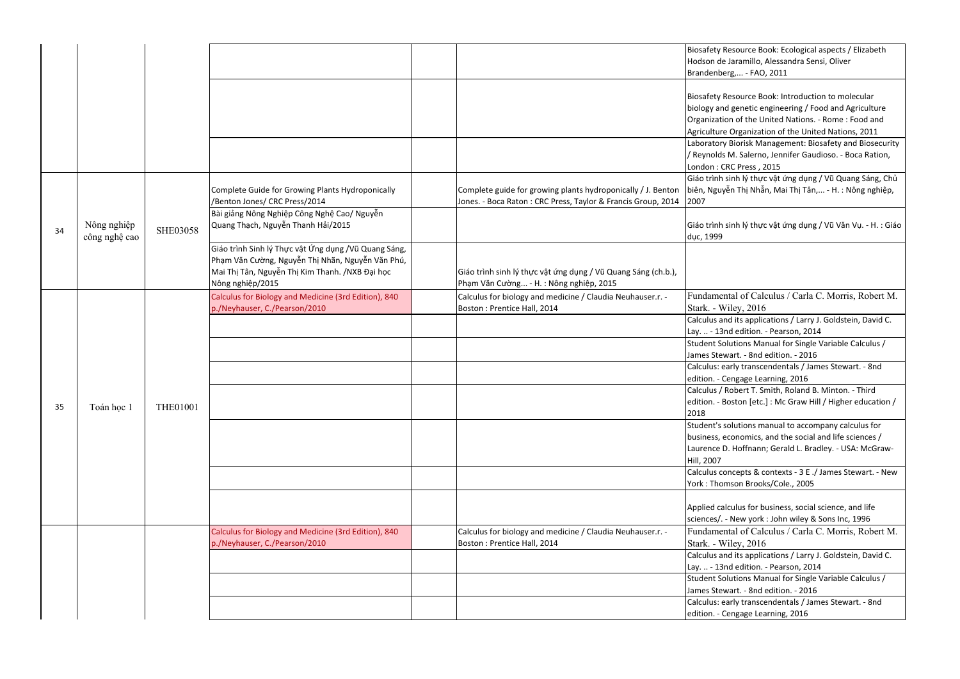Laboratory Biorisk Management: Biosafety and Biosecurity M. Salerno, Jennifer Gaudioso. - Boca Ration, RC Press, 2015

 Giáo trình sinh lý thực vật ứng dụng / Vũ Quang Sáng, Chủ yễn Thị Nhẫn, Mai Thị Tân,... - H. : Nông nghiệp,

i sinh lý thực vật ứng dụng / Vũ Văn Vụ. - H. : Giáo

ental of Calculus / Carla C. Morris, Robert M.  $W$ iley, 2016

 Calculus and its applications / Larry J. Goldstein, David C. Ind edition. - Pearson, 2014

 Student Solutions Manual for Single Variable Calculus / Wart. - 8nd edition. - 2016

 Calculus: early transcendentals / James Stewart. - 8nd Cengage Learning, 2016

 Calculus / Robert T. Smith, Roland B. Minton. - Third Boston [etc.] : Mc Graw Hill / Higher education /

> solutions manual to accompany calculus for economics, and the social and life sciences / D. Hoffnann; Gerald L. Bradley. - USA: McGraw-

concepts & contexts - 3 E ./ James Stewart. - New mson Brooks/Cole., 2005

alculus for business, social science, and life . - New york : John wiley & Sons Inc, 1996 Fundamental of Calculus / Carla C. Morris, Robert M.  $Wiley, 2016$  Calculus and its applications / Larry J. Goldstein, David C. Ind edition. - Pearson, 2014

 Student Solutions Manual for Single Variable Calculus / Wart. - 8nd edition. - 2016

 Calculus: early transcendentals / James Stewart. - 8nd Cengage Learning, 2016

|    |               |                 |                                                      |                                                               | <b>Biosafety I</b>              |
|----|---------------|-----------------|------------------------------------------------------|---------------------------------------------------------------|---------------------------------|
|    |               |                 |                                                      |                                                               | Hodson de                       |
|    |               |                 |                                                      |                                                               | Brandenbe                       |
|    |               |                 |                                                      |                                                               |                                 |
|    |               |                 |                                                      |                                                               | <b>Biosafety I</b>              |
|    |               |                 |                                                      |                                                               | biology an                      |
|    |               |                 |                                                      |                                                               | Organizati                      |
|    |               |                 |                                                      |                                                               | Agriculture                     |
|    |               |                 |                                                      |                                                               | Laboratory                      |
|    |               |                 |                                                      |                                                               | / Reynolds                      |
|    |               |                 |                                                      |                                                               | London: C                       |
|    |               |                 |                                                      |                                                               | Giáo trình                      |
|    |               |                 | Complete Guide for Growing Plants Hydroponically     | Complete guide for growing plants hydroponically / J. Benton  | biên, Nguy                      |
|    |               |                 | /Benton Jones/ CRC Press/2014                        | Jones. - Boca Raton : CRC Press, Taylor & Francis Group, 2014 | 2007                            |
|    |               |                 | Bài giảng Nông Nghiệp Công Nghệ Cao/ Nguyễn          |                                                               |                                 |
|    | Nông nghiệp   |                 | Quang Thạch, Nguyễn Thanh Hải/2015                   |                                                               | Giáo trình                      |
| 34 | công nghệ cao | <b>SHE03058</b> |                                                      |                                                               | dục, 1999                       |
|    |               |                 | Giáo trình Sinh lý Thực vật Ứng dụng /Vũ Quang Sáng, |                                                               |                                 |
|    |               |                 | Phạm Văn Cường, Nguyễn Thị Nhãn, Nguyễn Văn Phú,     |                                                               |                                 |
|    |               |                 | Mai Thị Tân, Nguyễn Thị Kim Thanh. /NXB Đại học      | Giáo trình sinh lý thực vật ứng dụng / Vũ Quang Sáng (ch.b.), |                                 |
|    |               |                 | Nông nghiệp/2015                                     | Phạm Văn Cường - H. : Nông nghiệp, 2015                       |                                 |
|    |               |                 | Calculus for Biology and Medicine (3rd Edition), 840 | Calculus for biology and medicine / Claudia Neuhauser.r. -    | Fundamer                        |
|    |               |                 | p./Neyhauser, C./Pearson/2010                        | Boston: Prentice Hall, 2014                                   | Stark. - W                      |
|    |               |                 |                                                      |                                                               | Calculus a                      |
|    |               |                 |                                                      |                                                               | Lay.  - 13                      |
|    |               |                 |                                                      |                                                               | <b>Student Sc</b>               |
|    |               |                 |                                                      |                                                               | James Stey                      |
|    |               |                 |                                                      |                                                               | Calculus: e                     |
|    |               |                 |                                                      |                                                               | edition. - 0                    |
|    |               |                 |                                                      |                                                               | Calculus /                      |
|    |               |                 |                                                      |                                                               | edition. - E                    |
| 35 | Toán học 1    | <b>THE01001</b> |                                                      |                                                               | 2018                            |
|    |               |                 |                                                      |                                                               | Student's :                     |
|    |               |                 |                                                      |                                                               | business, e                     |
|    |               |                 |                                                      |                                                               | Laurence I                      |
|    |               |                 |                                                      |                                                               | Hill, 2007                      |
|    |               |                 |                                                      |                                                               | Calculus co                     |
|    |               |                 |                                                      |                                                               | York: Thor                      |
|    |               |                 |                                                      |                                                               |                                 |
|    |               |                 |                                                      |                                                               | Applied ca                      |
|    |               |                 |                                                      |                                                               | sciences/.                      |
|    |               |                 | Calculus for Biology and Medicine (3rd Edition), 840 | Calculus for biology and medicine / Claudia Neuhauser.r. -    | Fundamer                        |
|    |               |                 | p./Neyhauser, C./Pearson/2010                        | Boston: Prentice Hall, 2014                                   | Stark. - W                      |
|    |               |                 |                                                      |                                                               | Calculus a                      |
|    |               |                 |                                                      |                                                               |                                 |
|    |               |                 |                                                      |                                                               | Lay.  - 13<br><b>Student Sc</b> |
|    |               |                 |                                                      |                                                               | James Stey                      |
|    |               |                 |                                                      |                                                               | Calculus: e                     |
|    |               |                 |                                                      |                                                               | edition. - 0                    |
|    |               |                 |                                                      |                                                               |                                 |

Resource Book: Ecological aspects / Elizabeth Hodson de Jaramillo, Alessandra Sensi, Oliver erg,... - FAO, 2011

Resource Book: Introduction to molecular od genetic engineering / Food and Agriculture ion of the United Nations. - Rome : Food and e Organization of the United Nations, 2011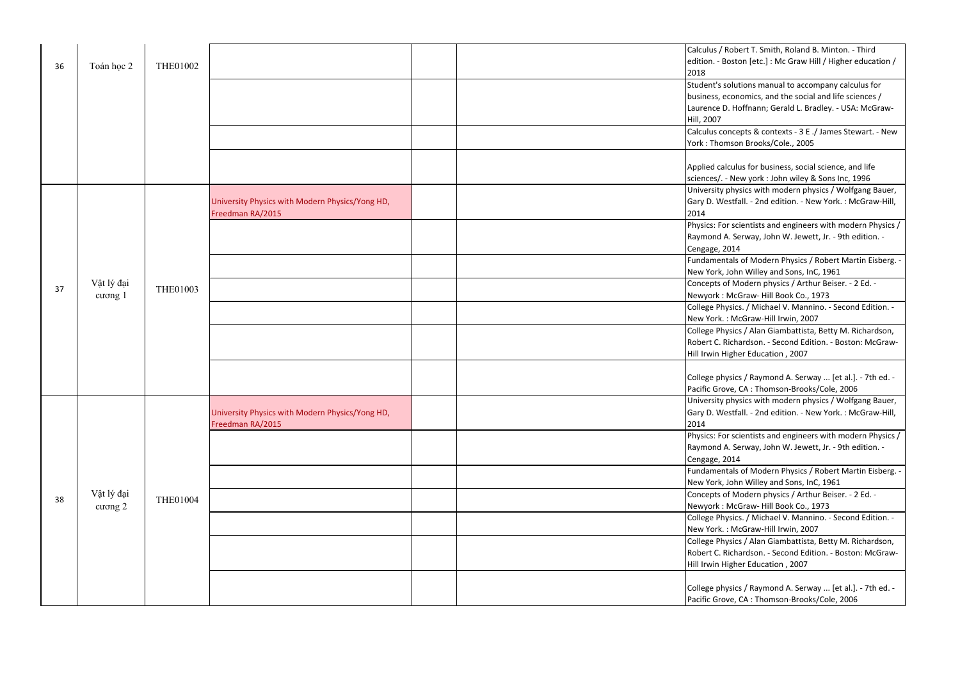Fundamentals of Modern Physics / Robert Martin Eisberg. - John Willey and Sons, InC, 1961

 Concepts of Modern physics / Arthur Beiser. - 2 Ed. - McGraw- Hill Book Co., 1973

 College Physics. / Michael V. Mannino. - Second Edition. - : McGraw-Hill Irwin, 2007

 College Physics / Alan Giambattista, Betty M. Richardson, Richardson. - Second Edition. - Boston: McGraw-Higher Education, 2007

> ysics / Raymond A. Serway ... [et al.]. - 7th ed. bve, CA : Thomson-Brooks/Cole, 2006

 University physics with modern physics / Wolfgang Bauer, estfall. - 2nd edition. - New York. : McGraw-Hill,

> or scientists and engineers with modern Physics / A. Serway, John W. Jewett, Jr. - 9th edition. -2014

 Fundamentals of Modern Physics / Robert Martin Eisberg. - John Willey and Sons, InC, 1961

 Concepts of Modern physics / Arthur Beiser. - 2 Ed. - McGraw- Hill Book Co., 1973

 College Physics. / Michael V. Mannino. - Second Edition. - : McGraw-Hill Irwin, 2007

 College Physics / Alan Giambattista, Betty M. Richardson, Richardson. - Second Edition. - Boston: McGraw-Higher Education, 2007

> ysics / Raymond A. Serway ... [et al.]. - 7th ed. -Pacific Grove, CA : Thomson-Brooks/Cole, 2006

|    |                       |                 |                                                 | Calculus /<br>edition. - E |
|----|-----------------------|-----------------|-------------------------------------------------|----------------------------|
| 36 | Toán học 2            | <b>THE01002</b> |                                                 | 2018                       |
|    |                       |                 |                                                 | Student's s                |
|    |                       |                 |                                                 | business, e                |
|    |                       |                 |                                                 | Laurence I                 |
|    |                       |                 |                                                 | Hill, 2007                 |
|    |                       |                 |                                                 | Calculus co                |
|    |                       |                 |                                                 | York: Thor                 |
|    |                       |                 |                                                 | Applied ca                 |
|    |                       |                 |                                                 |                            |
|    |                       |                 |                                                 | sciences/.<br>University   |
|    |                       |                 |                                                 |                            |
|    |                       |                 | University Physics with Modern Physics/Yong HD, | Gary D. W<br>2014          |
|    |                       |                 | Freedman RA/2015                                |                            |
|    |                       |                 |                                                 | Physics: Fo                |
|    |                       |                 |                                                 | Raymond                    |
|    |                       |                 |                                                 | Cengage, 2                 |
|    |                       | <b>THE01003</b> |                                                 | Fundamen                   |
|    |                       |                 |                                                 | New York,                  |
| 37 | Vật lý đại            |                 |                                                 | Concepts o                 |
|    | cương 1               |                 |                                                 | Newyork:                   |
|    |                       |                 |                                                 | College Ph                 |
|    |                       |                 |                                                 | New York.                  |
|    |                       |                 |                                                 | College Ph                 |
|    |                       |                 |                                                 | Robert C. I                |
|    |                       |                 |                                                 | Hill Irwin H               |
|    |                       |                 |                                                 | College ph                 |
|    |                       |                 |                                                 | Pacific Gro                |
|    |                       |                 |                                                 | University                 |
|    |                       |                 | University Physics with Modern Physics/Yong HD, | Gary D. W                  |
|    |                       | <b>THE01004</b> | Freedman RA/2015                                | 2014                       |
|    |                       |                 |                                                 | Physics: Fo                |
|    |                       |                 |                                                 | Raymond                    |
|    | Vật lý đại<br>cương 2 |                 |                                                 | Cengage, 2                 |
|    |                       |                 |                                                 | Fundamen                   |
|    |                       |                 |                                                 | New York,                  |
|    |                       |                 |                                                 | Concepts o                 |
| 38 |                       |                 |                                                 | Newyork:                   |
|    |                       |                 |                                                 | College Ph                 |
|    |                       |                 |                                                 | New York.                  |
|    |                       |                 |                                                 | College Ph                 |
|    |                       |                 |                                                 | Robert C. I                |
|    |                       |                 |                                                 | Hill Irwin <b>H</b>        |
|    |                       |                 |                                                 |                            |
|    |                       |                 |                                                 | College ph                 |
|    |                       |                 |                                                 | Pacific Gro                |

Robert T. Smith, Roland B. Minton. - Third ledition. Accordition. Hill / Higher education /

solutions manual to accompany calculus for economics, and the social and life sciences / D. Hoffnann; Gerald L. Bradley. - USA: McGraw-

concepts & contexts - 3 E ./ James Stewart. - New mson Brooks/Cole., 2005

alculus for business, social science, and life - New york : John wiley & Sons Inc, 1996 University physics with modern physics / Wolfgang Bauer, 'estfall. - 2nd edition. - New York. : McGraw-Hill,

> $\sigma$  scientists and engineers with modern Physics / A. Serway, John W. Jewett, Jr. - 9th edition. -2014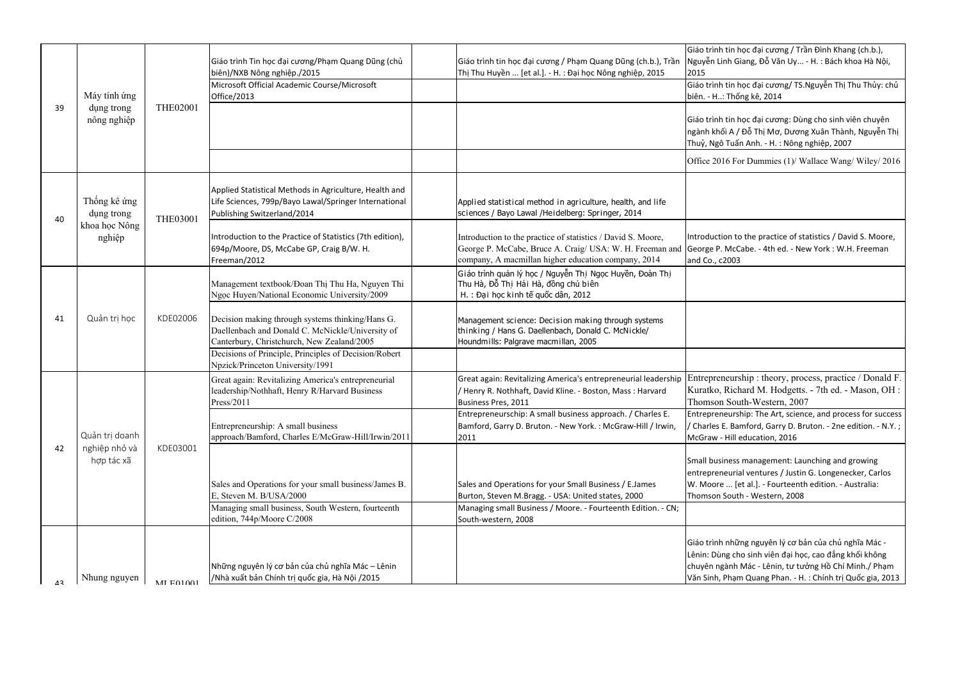Entrepreneurship: The Art, science, and process for success E. Bamford, Garry D. Bruton. - 2ne edition. - N.Y. ; Hill education, 2016

> ness management: Launching and growing eurial ventures / Justin G. Longenecker, Carlos ... [et al.]. - Fourteenth edition. - Australia: South - Western, 2008

những nguyên lý cơ bản của chủ nghĩa Mác ng cho sinh viên đại học, cao đẳng khối không gành Mác - Lênin, tư tưởng Hồ Chí Minh./ Phạm Phạm Quang Phan. - H. : Chính trị Quốc gia, 2013

| 39 | Máy tính ứng<br>dung trong<br>nông nghiệp     | <b>THE02001</b> | Giáo trình Tin học đại cương/Phạm Quang Dũng (chủ<br>biên)/NXB Nông nghiệp./2015<br>Microsoft Official Academic Course/Microsoft<br>Office/2013    | Giáo trình tin học đại cương / Phạm Quang Dũng (ch.b.), Trần<br>Thị Thu Huyền  [et al.]. - H. : Đại học Nông nghiệp, 2015                                                       | Giáo trình<br>Nguyễn Lir<br>2015<br>Giáo trình<br>biên. - H: |
|----|-----------------------------------------------|-----------------|----------------------------------------------------------------------------------------------------------------------------------------------------|---------------------------------------------------------------------------------------------------------------------------------------------------------------------------------|--------------------------------------------------------------|
|    |                                               |                 |                                                                                                                                                    |                                                                                                                                                                                 | Giáo trình<br>ngành khố<br>Thuỷ, Ngô                         |
|    |                                               |                 |                                                                                                                                                    |                                                                                                                                                                                 | Office 201                                                   |
| 40 | Thống kê ứng<br>dụng trong                    | <b>THE03001</b> | Applied Statistical Methods in Agriculture, Health and<br>Life Sciences, 799p/Bayo Lawal/Springer International<br>Publishing Switzerland/2014     | Applied statistical method in agriculture, health, and life<br>sciences / Bayo Lawal / Heidelberg: Springer, 2014                                                               |                                                              |
|    | khoa học Nông<br>nghiệp                       |                 | Introduction to the Practice of Statistics (7th edition),<br>694p/Moore, DS, McCabe GP, Craig B/W. H.<br>Freeman/2012                              | Introduction to the practice of statistics / David S. Moore,<br>George P. McCabe, Bruce A. Craig/ USA: W. H. Freeman and<br>company, A macmillan higher education company, 2014 | Introductio<br>George P.<br>and Co., c2                      |
| 41 | Quản trị học                                  | KDE02006        | Management textbook/Đoan Thị Thu Ha, Nguyen Thi<br>Ngoc Huyen/National Economic University/2009                                                    | Giáo trình quản lý học / Nguyễn Thị Ngọc Huyền, Đoàn Thị<br>Thu Hà, Đỗ Thị Hải Hà, đồng chủ biên<br>H. : Đại học kinh tế quốc dân, 2012                                         |                                                              |
|    |                                               |                 | Decision making through systems thinking/Hans G.<br>Daellenbach and Donald C. McNickle/University of<br>Canterbury, Christchurch, New Zealand/2005 | Management science: Decision making through systems<br>thinking / Hans G. Daellenbach, Donald C. McNickle/<br>Houndmills: Palgrave macmillan, 2005                              |                                                              |
|    |                                               |                 | Decisions of Principle, Principles of Decision/Robert<br>Npzick/Princeton University/1991                                                          |                                                                                                                                                                                 |                                                              |
| 42 | Quản trị doanh<br>nghiệp nhỏ và<br>hợp tác xã | KDE03001        | Great again: Revitalizing America's entrepreneurial<br>leadership/Nothhaft, Henry R/Harvard Business<br>Press/2011                                 | Great again: Revitalizing America's entrepreneurial leadership<br>Henry R. Nothhaft, David Kline. - Boston, Mass: Harvard<br>Business Pres, 2011                                | Entrepren<br>Kuratko,<br>Thomson                             |
|    |                                               |                 | Entrepreneurship: A small business<br>approach/Bamford, Charles E/McGraw-Hill/Irwin/2011                                                           | Entrepreneurschip: A small business approach. / Charles E.<br>Bamford, Garry D. Bruton. - New York. : McGraw-Hill / Irwin,<br>2011                                              | Entrepren<br>/ Charles E<br>McGraw -                         |
|    |                                               |                 | Sales and Operations for your small business/James B.                                                                                              | Sales and Operations for your Small Business / E.James                                                                                                                          | Small busir<br>entrepren<br>W. Moore                         |
|    |                                               |                 | E, Steven M. B/USA/2000<br>Managing small business, South Western, fourteenth<br>edition, 744p/Moore C/2008                                        | Burton, Steven M.Bragg. - USA: United states, 2000<br>Managing small Business / Moore. - Fourteenth Edition. - CN;<br>South-western, 2008                                       | Thomson 9                                                    |
|    |                                               |                 |                                                                                                                                                    |                                                                                                                                                                                 | Giáo trình<br>Lênin: Dùn                                     |
| 43 | Nhung nguyen                                  | MI E01001       | Những nguyên lý cơ bản của chủ nghĩa Mác - Lênin<br>/Nhà xuất bản Chính trị quốc gia, Hà Nội /2015                                                 |                                                                                                                                                                                 | chuyên ng<br>Văn Sinh, I                                     |

h tin học đại cương / Trần Đình Khang (ch.b.), inh Giang, Đỗ Văn Uy... - H. : Bách khoa Hà Nội,

ı tin học đại cương/ TS.Nguyễn Thị Thu Thủy: chủ : Thống kê, 2014

i tin học đại cương: Dùng cho sinh viên chuyên ối A / Đỗ Thị Mơ, Dương Xuân Thành, Nguyễn Thị ) Tuấn Anh. - H. : Nông nghiệp, 2007

16 For Dummies (1)/ Wallace Wang/ Wiley/ 2016

Ion to the practice of statistics / David S. Moore, McCabe. - 4th ed. - New York : W.H. Freeman 2003

neurship : theory, process, practice / Donald F. Richard M. Hodgetts. - 7th ed. - Mason, OH : South-Western, 2007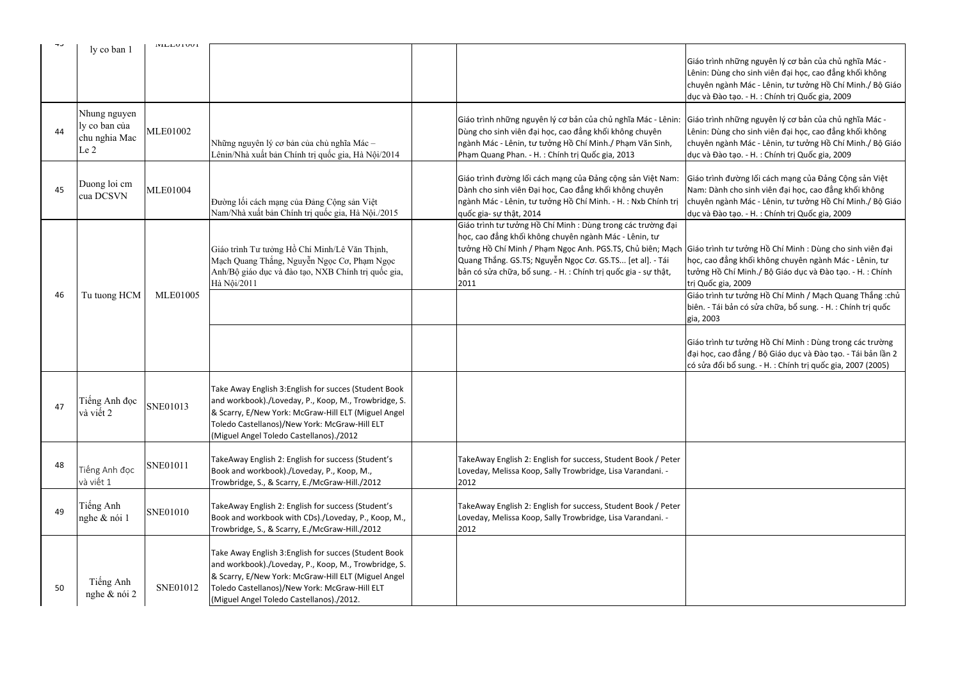Giáo trình tư tưởng Hồ Chí Minh / Mạch Quang Thắng :chủ i bản có sửa chữa, bổ sung. - H. : Chính trị quốc

> i tư tưởng Hồ Chí Minh : Dùng trong các trường ao đẳng / Bộ Giáo dục và Đào tạo. - Tái bản lần 2  $\delta$ i bổ sung. - H. : Chính trị quốc gia, 2007 (2005)

| ر ب | ly co ban 1                                                       | <b>IVILLUUIUUI</b> |                                                                                                                                                                                                                                                                   |                                                                                                                                                                                                                                                                                                                                    | Giáo trình<br>Lênin: Dùi<br>chuyên ng<br>dục và Đà                |
|-----|-------------------------------------------------------------------|--------------------|-------------------------------------------------------------------------------------------------------------------------------------------------------------------------------------------------------------------------------------------------------------------|------------------------------------------------------------------------------------------------------------------------------------------------------------------------------------------------------------------------------------------------------------------------------------------------------------------------------------|-------------------------------------------------------------------|
| 44  | Nhung nguyen<br>ly co ban của<br>chu nghia Mac<br>Le <sub>2</sub> | <b>MLE01002</b>    | Những nguyên lý cơ bản của chủ nghĩa Mác –<br>Lênin/Nhà xuất bản Chính trị quốc gia, Hà Nội/2014                                                                                                                                                                  | Giáo trình những nguyên lý cơ bản của chủ nghĩa Mác - Lênin:<br>Dùng cho sinh viên đại học, cao đẳng khối không chuyên<br>ngành Mác - Lênin, tư tưởng Hồ Chí Minh./ Phạm Văn Sinh,<br>Phạm Quang Phan. - H. : Chính trị Quốc gia, 2013                                                                                             | Giáo trình<br>Lênin: Dùi<br>chuyên ng<br>dục và Đà                |
| 45  | Duong loi cm<br>cua DCSVN                                         | <b>MLE01004</b>    | Đường lối cách mạng của Đảng Cộng sản Việt<br>Nam/Nhà xuất bản Chính trị quốc gia, Hà Nội./2015                                                                                                                                                                   | Giáo trình đường lối cách mạng của Đảng cộng sản Việt Nam:<br>Dành cho sinh viên Đại học, Cao đẳng khối không chuyên<br>ngành Mác - Lênin, tư tưởng Hồ Chí Minh. - H. : Nxb Chính trị<br>quốc gia- sự thật, 2014                                                                                                                   | Giáo trình<br>Nam: Dàn<br>chuyên ng<br>dục và Đà                  |
| 46  | Tu tuong HCM                                                      | <b>MLE01005</b>    | Giáo trình Tư tưởng Hồ Chí Minh/Lê Văn Thịnh,<br>Mạch Quang Thắng, Nguyễn Ngọc Cơ, Phạm Ngọc<br>Anh/Bộ giáo dục và đào tạo, NXB Chính trị quốc gia,<br>Hà Nội/2011                                                                                                | Giáo trình tư tưởng Hồ Chí Minh : Dùng trong các trường đại<br>học, cao đẳng khối không chuyên ngành Mác - Lênin, tư<br>tưởng Hồ Chí Minh / Phạm Ngọc Anh. PGS.TS, Chủ biên; Mạch Giáo trình<br>Quang Thắng. GS.TS; Nguyễn Ngọc Cơ. GS.TS [et al]. - Tái<br>bản có sửa chữa, bổ sung. - H. : Chính trị quốc gia - sự thật,<br>2011 | học, cao đ<br>tưởng Hồ<br>trị Quốc g<br>Giáo trình<br>biên. - Tái |
|     |                                                                   |                    |                                                                                                                                                                                                                                                                   |                                                                                                                                                                                                                                                                                                                                    | gia, 2003<br>Giáo trình<br>đại học, ca<br>có sửa đổ               |
| 47  | Tiếng Anh đọc<br>và viết 2                                        | SNE01013           | Take Away English 3: English for succes (Student Book<br>and workbook)./Loveday, P., Koop, M., Trowbridge, S.<br>& Scarry, E/New York: McGraw-Hill ELT (Miguel Angel<br>Toledo Castellanos)/New York: McGraw-Hill ELT<br>(Miguel Angel Toledo Castellanos)./2012  |                                                                                                                                                                                                                                                                                                                                    |                                                                   |
| 48  | Tiếng Anh đọc<br>và viết 1                                        | SNE01011           | TakeAway English 2: English for success (Student's<br>Book and workbook)./Loveday, P., Koop, M.,<br>Trowbridge, S., & Scarry, E./McGraw-Hill./2012                                                                                                                | TakeAway English 2: English for success, Student Book / Peter<br>Loveday, Melissa Koop, Sally Trowbridge, Lisa Varandani. -<br>2012                                                                                                                                                                                                |                                                                   |
| 49  | Tiếng Anh<br>nghe & nói 1                                         | SNE01010           | TakeAway English 2: English for success (Student's<br>Book and workbook with CDs)./Loveday, P., Koop, M.,<br>Trowbridge, S., & Scarry, E./McGraw-Hill./2012                                                                                                       | TakeAway English 2: English for success, Student Book / Peter<br>Loveday, Melissa Koop, Sally Trowbridge, Lisa Varandani. -<br>2012                                                                                                                                                                                                |                                                                   |
| 50  | Tiếng Anh<br>nghe & nói 2                                         | <b>SNE01012</b>    | Take Away English 3: English for succes (Student Book<br>and workbook)./Loveday, P., Koop, M., Trowbridge, S.<br>& Scarry, E/New York: McGraw-Hill ELT (Miguel Angel<br>Toledo Castellanos)/New York: McGraw-Hill ELT<br>(Miguel Angel Toledo Castellanos)./2012. |                                                                                                                                                                                                                                                                                                                                    |                                                                   |

n những nguyên lý cơ bản của chủ nghĩa Mác ng cho sinh viên đại học, cao đẳng khối không gành Mác - Lênin, tư tưởng Hồ Chí Minh./ Bộ Giáo ao tạo. - H. : Chính trị Quốc gia, 2009

những nguyên lý cơ bản của chủ nghĩa Mác ng cho sinh viên đại học, cao đẳng khối không chuyên ngành Mác - Lênin, tư tưởng Hồ Chí Minh./ Bộ Giáo ao tạo. - H. : Chính trị Quốc gia, 2009

> ı đường lối cách mạng của Đảng Cộng sản Việt nh cho sinh viên đại học, cao đẳng khối không gành Mác - Lênin, tư tưởng Hồ Chí Minh./ Bộ Giáo ao tạo. - H. : Chính trị Quốc gia, 2009

n tư tưởng Hồ Chí Minh : Dùng cho sinh viên đại đẳng khối không chuyên ngành Mác - Lênin, tư Chí Minh./ Bộ Giáo dục và Đào tạo. - H. : Chính tia, 2009